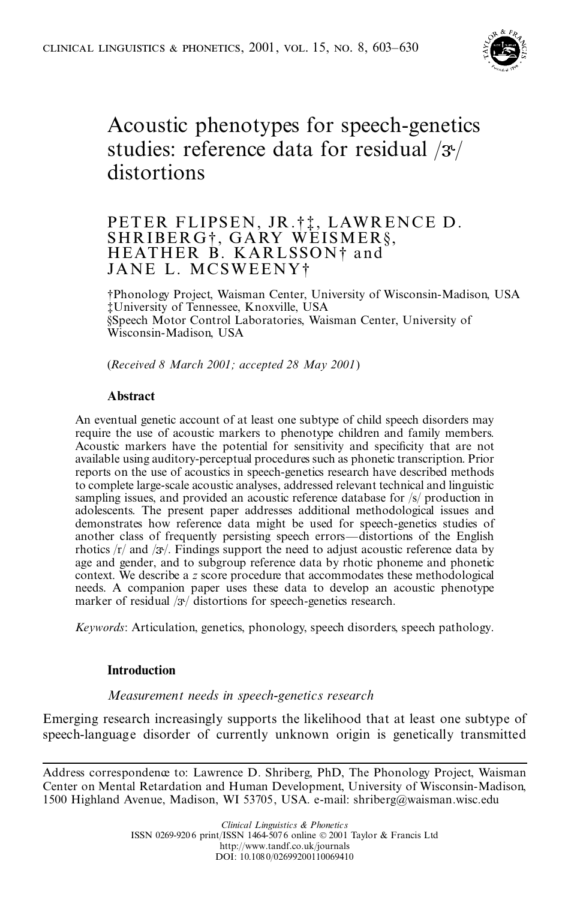

# Acoustic phenotypes for speech-genetics studies: reference data for residual  $/3$ <sup>t</sup>/ distortions

# PETER FLIPSEN, JR.†‡, LAWRENCE D.<br>SHRIBERG†, GARY WEISMER§,<br>HEATHER B. KARLSSON† and JANE L. MCSWEENY²

²Phonology Project, Waisman Center, University of Wisconsin-Madison, USA ³ University of Tennessee, Knoxville, USA §Speech Motor Control Laboratories, Waisman Center, University of Wisconsin-Madison, USA

(*Received 8 March 2001; accepted 28 May 2001*)

# **Abstract**

An eventual genetic account of at least one subtype of child speech disorders may require the use of acoustic markers to phenotype children and family members. Acoustic markers have the potential for sensitivity and specificity that are not available using auditory-perceptual procedures such as phonetic transcription. Prior reports on the use of acoustics in speech-genetics research have described methods to complete large-scale acoustic analyses, addressed relevant technical and linguistic sampling issues, and provided an acoustic reference database for /s/ production in adolescents. The present paper addresses additional methodological issues and demonstrates how reference data might be used for speech-genetics studies of another class of frequently persisting speech errors—distortions of the English rhotics  $\frac{r}{a}$  and  $\frac{3}{a}$ . Findings support the need to adjust acoustic reference data by age and gender, and to subgroup reference data by rhotic phoneme and phonetic context. We describe a *z* score procedure that accommodates these methodological needs. A companion paper uses these data to develop an acoustic phenotype marker of residual  $\sqrt{\frac{3}{2}}$  distortions for speech-genetics research.

*Keywords*: Articulation, genetics, phonology, speech disorders, speech pathology.

#### **Introduction**

# *Measurement needs in speech-genetics research*

Emerging research increasingly supports the likelihood that at least one subtype of speech-language disorder of currently unknown origin is genetically transmitted

Address correspondence to: Lawrence D. Shriberg, PhD, The Phonology Project, Waisman Center on Mental Retardation and Human Development, University of Wisconsin-Madison, 1500 Highland Avenue, Madison, WI 53705, USA. e-mail: shriberg@waisman.wisc.edu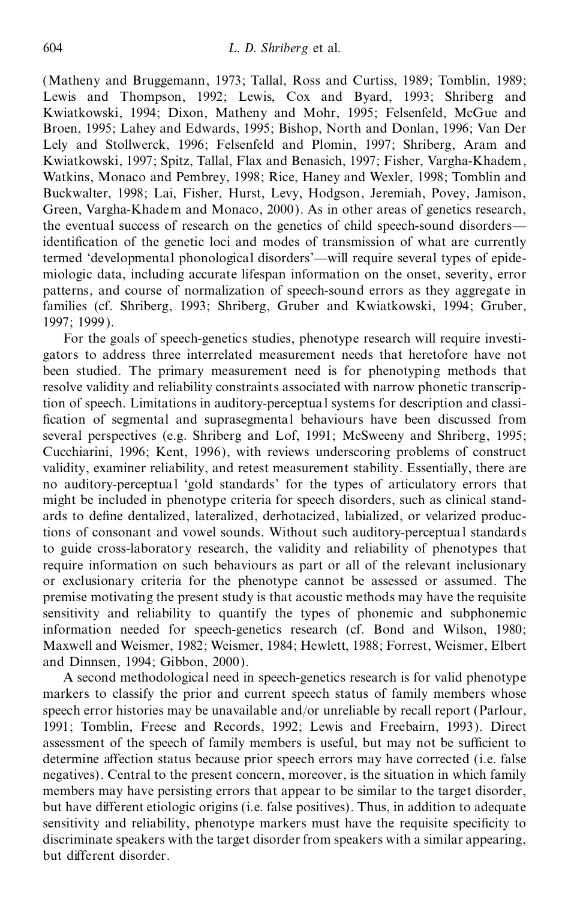(Matheny and Bruggemann, 1973; Tallal, Ross and Curtiss, 1989; Tomblin, 1989; Lewis and Thompson, 1992; Lewis, Cox and Byard, 1993; Shriberg and Kwiatkowski, 1994; Dixon, Matheny and Mohr, 1995; Felsenfeld, McGue and Broen, 1995; Lahey and Edwards, 1995; Bishop, North and Donlan, 1996; Van Der Lely and Stollwerck, 1996; Felsenfeld and Plomin, 1997; Shriberg, Aram and Kwiatkowski, 1997; Spitz, Tallal, Flax and Benasich, 1997; Fisher, Vargha-Khadem, Watkins, Monaco and Pembrey, 1998; Rice, Haney and Wexler, 1998; Tomblin and Buckwalter, 1998; Lai, Fisher, Hurst, Levy, Hodgson, Jeremiah, Povey, Jamison, Green, Vargha-Khadem and Monaco, 2000). As in other areas of genetics research, the eventual success of research on the genetics of child speech-sound disorders identification of the genetic loci and modes of transmission of what are currently termed 'developmental phonological disorders'—will require several types of epidemiologic data, including accurate lifespan information on the onset, severity, error patterns, and course of normalization of speech-sound errors as they aggregate in families (cf. Shriberg, 1993; Shriberg, Gruber and Kwiatkowski, 1994; Gruber, 1997; 1999).

For the goals of speech-genetics studies, phenotype research will require investi gators to address three interrelated measurement needs that heretofore have not been studied. The primary measurement need is for phenotyping methods that resolve validity and reliability constraints associated with narrow phonetic transcription of speech. Limitations in auditory-perceptua l systems for description and classi fication of segmental and suprasegmental behaviours have been discussed from several perspectives (e.g. Shriberg and Lof, 1991; McSweeny and Shriberg, 1995; Cucchiarini, 1996; Kent, 1996), with reviews underscoring problems of construct validity, examiner reliability, and retest measurement stability. Essentially, there are no auditory-perceptual 'gold standards' for the types of articulatory errors that might be included in phenotype criteria for speech disorders, such as clinical stand ards to define dentalized, lateralized, derhotacized, labialized, or velarized productions of consonant and vowel sounds. Without such auditory-perceptua l standards to guide cross-laboratory research, the validity and reliability of phenotypes that require information on such behaviours as part or all of the relevant inclusionary or exclusionary criteria for the phenotype cannot be assessed or assumed. The premise motivating the present study is that acoustic methods may have the requisite sensitivity and reliability to quantify the types of phonemic and subphonemic information needed for speech-genetics research (cf. Bond and Wilson, 1980; Maxwell and Weismer, 1982; Weismer, 1984; Hewlett, 1988; Forrest, Weismer, Elbert and Dinnsen, 1994; Gibbon, 2000).

A second methodological need in speech-genetics research is for valid phenotype markers to classify the prior and current speech status of family members whose speech error histories may be unavailable and/or unreliable by recall report (Parlour, 1991; Tomblin, Freese and Records, 1992; Lewis and Freebairn, 1993). Direct assessment of the speech of family members is useful, but may not be sufficient to determine affection status because prior speech errors may have corrected (i.e. false negatives). Central to the present concern, moreover, is the situation in which family members may have persisting errors that appear to be similar to the target disorder, but have different etiologic origins (i.e. false positives). Thus, in addition to adequate sensitivity and reliability, phenotype markers must have the requisite specificity to discriminate speakers with the target disorder from speakers with a similar appearing, but different disorder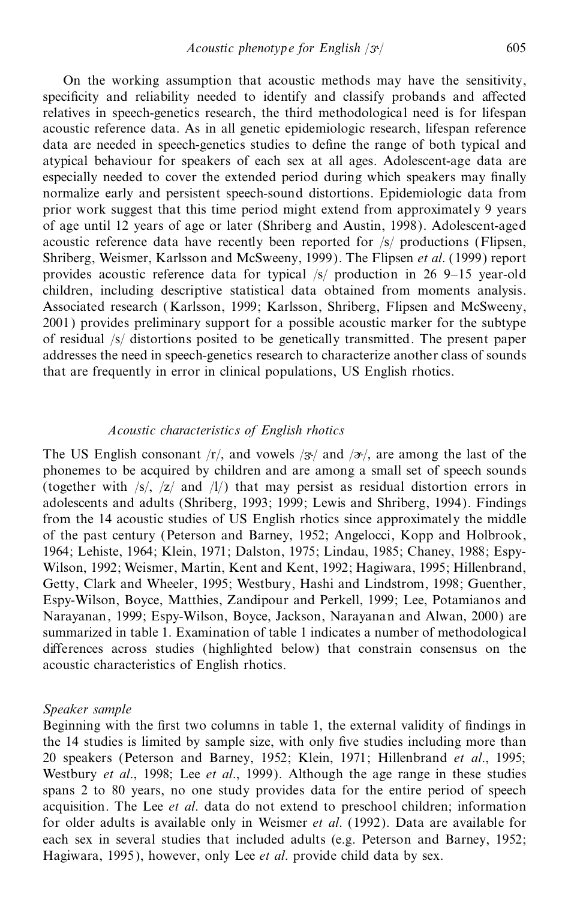On the working assumption that acoustic methods may have the sensitivity, specificity and reliability needed to identify and classify probands and affected relatives in speech-genetics research, the third methodological need is for lifespan acoustic reference data. As in all genetic epidemiologic research, lifespan reference data are needed in speech-genetics studies to define the range of both typical and atypical behaviour for speakers of each sex at all ages. Adolescent-age data are especially needed to cover the extended period during which speakers may finally normalize early and persistent speech-sound distortions. Epidemiologic data from prior work suggest that this time period might extend from approximately 9 years of age until 12 years of age or later (Shriberg and Austin, 1998). Adolescent-aged acoustic reference data have recently been reported for /s/ productions (Flipsen, Shriberg, Weismer, Karlsson and McSweeny, 1999). The Flipsen *et al*. (1999) report provides acoustic reference data for typical  $/s/$  production in 26 9–15 year-old children, including descriptive statistical data obtained from moments analysis. Associated research ( Karlsson, 1999; Karlsson, Shriberg, Flipsen and McSweeny, 2001) provides preliminary support for a possible acoustic marker for the subtype of residual /s/ distortions posited to be genetically transmitted. The present paper addresses the need in speech-genetics research to characterize another class of sounds that are frequently in error in clinical populations, US English rhotics.

#### *Acoustic characteristics of English rhotics*

The US English consonant  $\langle r \rangle$ , and vowels  $\langle 3r \rangle$  and  $\langle 2r \rangle$ , are among the last of the phonemes to be acquired by children and are among a small set of speech sounds (together with /s/, /z/ and /l/) that may persist as residual distortion errors in adolescents and adults (Shriberg, 1993; 1999; Lewis and Shriberg, 1994). Findings from the 14 acoustic studies of US English rhotics since approximately the middle of the past century (Peterson and Barney, 1952; Angelocci, Kopp and Holbrook, 1964; Lehiste, 1964; Klein, 1971; Dalston, 1975; Lindau, 1985; Chaney, 1988; Espy- Wilson, 1992; Weismer, Martin, Kent and Kent, 1992; Hagiwara, 1995; Hillenbrand, Getty, Clark and Wheeler, 1995; Westbury, Hashi and Lindstrom, 1998; Guenther, Espy-Wilson, Boyce, Matthies, Zandipour and Perkell, 1999; Lee, Potamianos and Narayanan, 1999; Espy-Wilson, Boyce, Jackson, Narayanan and Alwan, 2000) are summarized in table 1. Examination of table 1 indicates a number of methodological differences across studies (highlighted below) that constrain consensus on the acoustic characteristics of English rhotics.

#### *Speaker sample*

Beginning with the first two columns in table 1, the external validity of findings in the 14 studies is limited by sample size, with only five studies including more than 20 speakers (Peterson and Barney, 1952; Klein, 1971; Hillenbrand *et al*., 1995; Westbury *et al*., 1998; Lee *et al*., 1999). Although the age range in these studies spans 2 to 80 years, no one study provides data for the entire period of speech acquisition. The Lee *et al*. data do not extend to preschool children; information for older adults is available only in Weismer *et al*. (1992). Data are available for each sex in several studies that included adults (e.g. Peterson and Barney, 1952; Hagiwara, 1995), however, only Lee *et al*. provide child data by sex.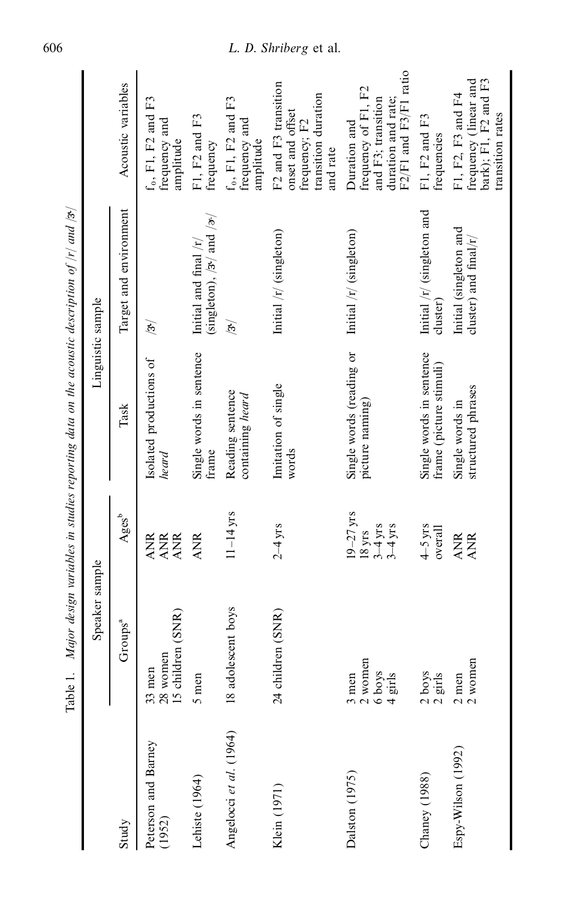|                               | Speaker sample                                                  |                                                           |                                                     | Linguistic sample                                                               |                                                                                                          |
|-------------------------------|-----------------------------------------------------------------|-----------------------------------------------------------|-----------------------------------------------------|---------------------------------------------------------------------------------|----------------------------------------------------------------------------------------------------------|
| Study                         | Groups <sup>a</sup>                                             | Ages <sup>b</sup>                                         | Task                                                | Target and environment                                                          | Acoustic variables                                                                                       |
| Peterson and Barney<br>(1952) | 28 women<br>15 children (SNR)<br>$33$ men                       | ANR<br>ANR<br><b>ANR</b>                                  | Isolated productions of<br>heard                    | (স্ত                                                                            | $f_0$ , F1, F2 and F3<br>frequency and<br>amplitude                                                      |
| Lehiste (1964)                | 5 men                                                           | <b>ANR</b>                                                | Single words in sentence<br>frame                   | (singleton), $/3$ <sup>t</sup> and $/3$ <sup>t</sup><br>Initial and final $/r/$ | F1, F2 and F3<br>frequency                                                                               |
| Angelocci et al. (1964)       | 18 adolescent boys                                              | $11 - 14$ yrs                                             | Reading sentence<br>containing heard                | $\mathcal{E}$                                                                   | $f_0$ , F1, F2 and F3<br>frequency and<br>amplitude                                                      |
| Klein (1971)                  | 24 children (SNR)                                               | $2 - 4$ yrs                                               | Imitation of single<br>words                        | Initial /r/ (singleton)                                                         | F2 and F3 transition<br>transition duration<br>onset and offset<br>frequency; F2<br>and rate             |
| Dalston (1975)                | $\frac{3}{2}$ men<br>$\frac{2}{6}$ women<br>$\frac{6}{4}$ girls | $19 - 27$ yrs<br>$3-4$ yrs<br>$3-4$ yrs<br>$18 \,\rm yrs$ | Single words (reading or<br>picture naming)         | Initial /r/ (singleton)                                                         | F2/F1 and F3/F1 ratio<br>frequency of F1, F2<br>and F3; transition<br>duration and rate;<br>Duration and |
| Chaney (1988)                 | $\frac{2}{2}$ boys                                              | $4-5$ yrs<br>overall                                      | Single words in sentence<br>frame (picture stimuli) | Initial $/r/$ (singleton and<br>cluster)                                        | F1, F2 and F3<br>frequencies                                                                             |
| Espy-Wilson (1992)            | $\frac{2}{2}$ men<br>$\frac{2}{2}$ women                        | <b>ANR</b><br><b>ANR</b>                                  | structured phrases<br>Single words in               | Initial (singleton and<br>cluster) and final/r/                                 | frequency (linear and<br>bark); F1, F2 and F3<br>F1, F2, F3 and F4<br>transition rates                   |
|                               |                                                                 |                                                           |                                                     |                                                                                 |                                                                                                          |

Table 1. Major design variables in studies reporting data on the acoustic description of  $|r|$  and  $|r|$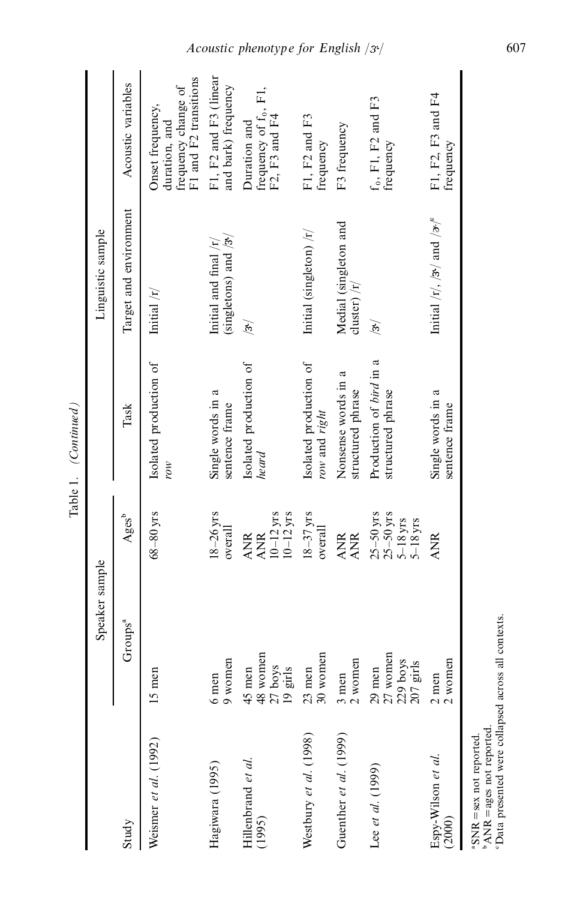|                                                                                                                        | Speaker sample                                    |                                                        |                                              | Linguistic sample                                             |                                                                                   |
|------------------------------------------------------------------------------------------------------------------------|---------------------------------------------------|--------------------------------------------------------|----------------------------------------------|---------------------------------------------------------------|-----------------------------------------------------------------------------------|
| Study                                                                                                                  | Groups <sup>a</sup>                               | Ages <sup>b</sup>                                      | Task                                         | Target and environment                                        | Acoustic variables                                                                |
| Weismer et al. (1992)                                                                                                  | $5 \text{ men}$                                   | $68 - 80$ yrs                                          | Isolated production of<br>row                | Initial $/r/$                                                 | frequency change of<br>F1 and F2 transitions<br>Onset frequency,<br>duration, and |
| Hagiwara (1995)                                                                                                        | $9$ women<br>$6$ men                              | $18 - 26$ yrs<br>overall                               | Single words in a<br>sentence frame          | (singletons) and $/3$ <sup>t</sup><br>Initial and final $/r/$ | F1, F2 and F3 (linear<br>and bark) frequency                                      |
| Hillenbrand et al.<br>(1995)                                                                                           | 48 women<br>$\frac{27}{19}$ boys<br>45 men        | $\frac{10-12}{10-12}$<br><b>ANR</b><br><b>ANR</b>      | Isolated production of<br>heard              | $\sqrt{3}$                                                    | frequency of f <sub>0</sub> , F1,<br>F2, F3 and F4<br>Duration and                |
| Westbury et al. (1998)                                                                                                 | 30 women<br>$23$ men                              | $18 - 37$ yrs<br>overall                               | Isolated production of<br>row and right      | Initial (singleton) /r/                                       | F1, F2 and F3<br>frequency                                                        |
| Guenther et al. (1999)                                                                                                 | 2 women<br>$3$ men                                | ANR<br>ANR                                             | Nonsense words in a<br>structured phrase     | Medial (singleton and<br>cluster) $/r$                        | F3 frequency                                                                      |
| Lee et al. $(1999)$                                                                                                    | 27 women<br>$229$ boys<br>$207$ girls<br>$29$ men | $25-50$ yrs<br>$25-50$ yrs<br>$5-18$ yrs<br>$5-18$ yrs | Production of bird in a<br>structured phrase | ভৈ                                                            | $f_0$ , F1, F2 and F3<br>frequency                                                |
| $Espy-Wilson$ et al.<br>(2000)                                                                                         | $\frac{2}{2}$ men<br>$\frac{2}{2}$ women          | <b>ANR</b>                                             | Single words in a<br>sentence frame          | Initial /r/, /3 <sup>,</sup> / and / <i>z</i> / $\degree$     | F1, F2, F3 and F4<br>frequency                                                    |
| <sup>o</sup> Data presented were collapsed across<br><sup>b</sup> ANR = ages not reported.<br>"SNR = sex not reported. | all contexts.                                     |                                                        |                                              |                                                               |                                                                                   |

Table 1. *(Continued)*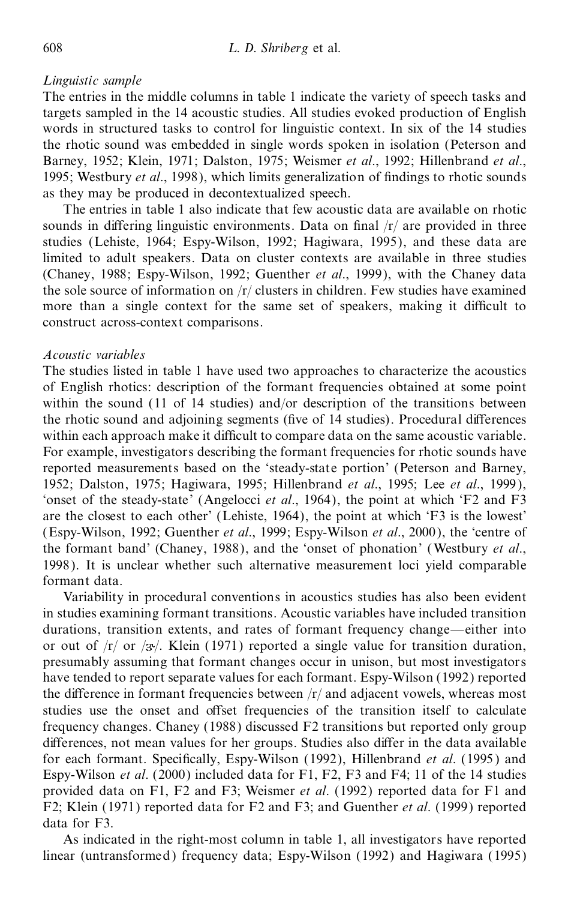# *Linguistic sample*

The entries in the middle columns in table 1 indicate the variety of speech tasks and targets sampled in the 14 acoustic studies. All studies evoked production of English words in structured tasks to control for linguistic context. In six of the 14 studies the rhotic sound was embedded in single words spoken in isolation (Peterson and Barney, 1952; Klein, 1971; Dalston, 1975; Weismer *et al*., 1992; Hillenbrand *et al*., 1995; Westbury *et al.*, 1998), which limits generalization of findings to rhotic sounds as they may be produced in decontextualized speech.

The entries in table 1 also indicate that few acoustic data are available on rhotic sounds in differing linguistic environments. Data on final  $\frac{r}{r}$  are provided in three studies (Lehiste, 1964; Espy-Wilson, 1992; Hagiwara, 1995), and these data are limited to adult speakers. Data on cluster contexts are available in three studies (Chaney, 1988; Espy-Wilson, 1992; Guenther *et al*., 1999), with the Chaney data the sole source of information on  $\frac{r}{\sqrt{t}}$  clusters in children. Few studies have examined more than a single context for the same set of speakers, making it difficult to construct across-context comparisons.

# *Acoustic variables*

The studies listed in table 1 have used two approaches to characterize the acoustics of English rhotics: description of the formant frequencies obtained at some point within the sound (11 of 14 studies) and/or description of the transitions between the rhotic sound and adjoining segments (five of 14 studies). Procedural differences within each approach make it difficult to compare data on the same acoustic variable. For example, investigators describing the formant frequencies for rhotic sounds have reported measurements based on the `steady-state portion' (Peterson and Barney, 1952; Dalston, 1975; Hagiwara, 1995; Hillenbrand *et al*., 1995; Lee *et al*., 1999 ), `onset of the steady-state' (Angelocci *et al*., 1964), the point at which `F2 and F3 are the closest to each other' (Lehiste, 1964), the point at which `F3 is the lowest' (Espy-Wilson, 1992; Guenther *et al*., 1999; Espy-Wilson *et al*., 2000), the `centre of the formant band' (Chaney, 1988), and the `onset of phonation' (Westbury *et al*., 1998). It is unclear whether such alternative measurement loci yield comparable formant data.

Variability in procedural conventions in acoustics studies has also been evident in studies examining formant transitions. Acoustic variables have included transition durations, transition extents, and rates of formant frequency change—either into or out of  $\langle r \rangle$  or  $\langle 3r \rangle$ . Klein (1971) reported a single value for transition duration, presumably assuming that formant changes occur in unison, but most investigators have tended to report separate values for each formant. Espy-Wilson (1992) reported the difference in formant frequencies between  $/r/$  and adjacent vowels, whereas most studies use the onset and offset frequencies of the transition itself to calculate frequency changes. Chaney (1988) discussed F2 transitions but reported only group differences, not mean values for her groups. Studies also differ in the data available for each formant. Specifically, Espy-Wilson (1992), Hillenbrand *et al.* (1995) and Espy-Wilson *et al*. (2000) included data for F1, F2, F3 and F4; 11 of the 14 studies provided data on F1, F2 and F3; Weismer *et al*. (1992) reported data for F1 and F2; Klein (1971) reported data for F2 and F3; and Guenther *et al*. (1999) reported data for F3.

As indicated in the right-most column in table 1, all investigators have reported linear (untransformed) frequency data; Espy-Wilson (1992) and Hagiwara (1995)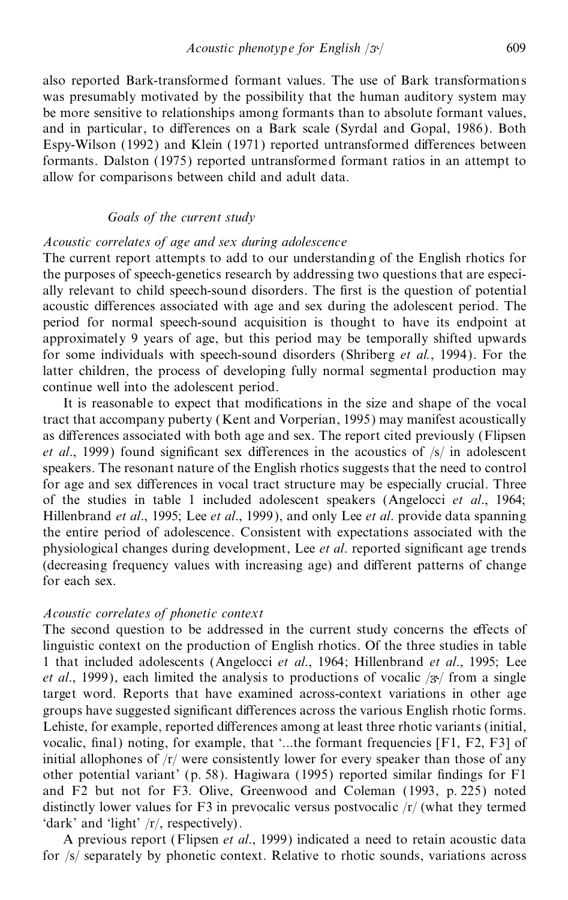also reported Bark-transformed formant values. The use of Bark transformations was presumably motivated by the possibility that the human auditory system may be more sensitive to relationships among formants than to absolute formant values, and in particular, to differences on a Bark scale (Syrdal and Gopal, 1986). Both Espy-Wilson (1992) and Klein (1971) reported untransformed differences between formants. Dalston (1975) reported untransformed formant ratios in an attempt to allow for comparisons between child and adult data.

# *Goals of the current study*

#### *Acoustic correlates of age and sex during adolescence*

The current report attempts to add to our understanding of the English rhotics for the purposes of speech-genetics research by addressing two questions that are especi ally relevant to child speech-sound disorders. The first is the question of potential acoustic differences associated with age and sex during the adolescent period. The period for normal speech-sound acquisition is thought to have its endpoint at approximately 9 years of age, but this period may be temporally shifted upwards for some individuals with speech-sound disorders (Shriberg *et al.*, 1994). For the latter children, the process of developing fully normal segmental production may continue well into the adolescent period.

It is reasonable to expect that modifications in the size and shape of the vocal tract that accompany puberty (Kent and Vorperian, 1995) may manifest acoustically as differences associated with both age and sex. The report cited previously (Flipsen *et al.*, 1999) found significant sex differences in the acoustics of  $\frac{s}{r}$  in adolescent speakers. The resonant nature of the English rhotics suggests that the need to control for age and sex differences in vocal tract structure may be especially crucial. Three of the studies in table 1 included adolescent speakers (Angelocci *et al*., 1964; Hillenbrand *et al*., 1995; Lee *et al*., 1999), and only Lee *et al*. provide data spanning the entire period of adolescence. Consistent with expectations associated with the physiological changes during development, Lee *et al.* reported significant age trends (decreasing frequency values with increasing age) and different patterns of change for each sex.

#### *Acoustic correlates of phonetic context*

The second question to be addressed in the current study concerns the effects of linguistic context on the production of English rhotics. Of the three studies in table 1 that included adolescents (Angelocci *et al*., 1964; Hillenbrand *et al*., 1995; Lee *et al.*, 1999), each limited the analysis to productions of vocalic  $\frac{1}{3}$  from a single target word. Reports that have examined across-context variations in other age groups have suggested significant differences across the various English rhotic forms. Lehiste, for example, reported differences among at least three rhotic variants (initial, vocalic, final) noting, for example, that  $\cdot$ ...the formant frequencies [F1, F2, F3] of initial allophones of  $\frac{r}{r}$  were consistently lower for every speaker than those of any other potential variant' (p. 58). Hagiwara (1995) reported similar findings for  $F1$ and F2 but not for F3. Olive, Greenwood and Coleman (1993, p. 225) noted distinctly lower values for F3 in prevocalic versus postvocalic  $\frac{r}{r}$  (what they termed 'dark' and 'light' /r/, respectively).

A previous report (Flipsen *et al*., 1999) indicated a need to retain acoustic data for /s/ separately by phonetic context. Relative to rhotic sounds, variations across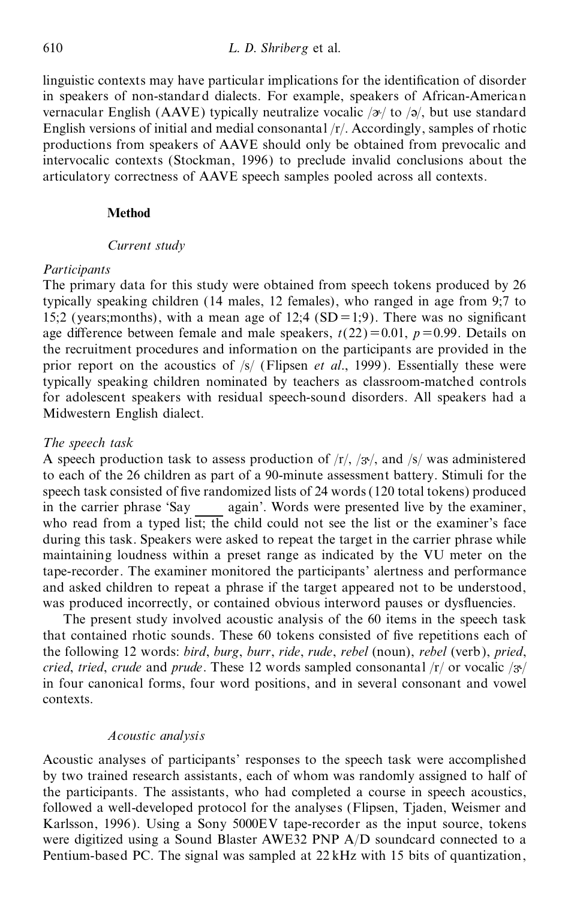linguistic contexts may have particular implications for the identification of disorder in speakers of non-standard dialects. For example, speakers of African-American vernacular English (AAVE) typically neutralize vocalic  $/\gamma$  to  $/\gamma$ , but use standard English versions of initial and medial consonantal /r/. Accordingly, samples of rhotic productions from speakers of AAVE should only be obtained from prevocalic and intervocalic contexts (Stockman, 1996) to preclude invalid conclusions about the articulatory correctness of AAVE speech samples pooled across all contexts.

#### **Method**

#### *Current study*

#### *Participants*

The primary data for this study were obtained from speech tokens produced by 26 typically speaking children (14 males, 12 females), who ranged in age from 9;7 to 15;2 (years;months), with a mean age of 12;4 (SD = 1;9). There was no significant age difference between female and male speakers,  $t(22)=0.01$ ,  $p=0.99$ . Details on the recruitment procedures and information on the participants are provided in the prior report on the acoustics of /s/ (Flipsen *et al*., 1999). Essentially these were typically speaking children nominated by teachers as classroom-matched controls for adolescent speakers with residual speech-sound disorders. All speakers had a Midwestern English dialect.

#### *The speech task*

A speech production task to assess production of  $\langle r \rangle$ ,  $\langle s \rangle$ , and  $\langle s \rangle$  was administered to each of the 26 children as part of a 90-minute assessment battery. Stimuli for the speech task consisted of five randomized lists of 24 words (120 total tokens) produced in the carrier phrase 'Say again'. Words were presented live by the examiner, who read from a typed list; the child could not see the list or the examiner's face during this task. Speakers were asked to repeat the target in the carrier phrase while maintaining loudness within a preset range as indicated by the VU meter on the tape-recorder. The examiner monitored the participants' alertness and performance and asked children to repeat a phrase if the target appeared not to be understood, was produced incorrectly, or contained obvious interword pauses or dysfluencies.

The present study involved acoustic analysis of the 60 items in the speech task that contained rhotic sounds. These 60 tokens consisted of five repetitions each of the following 12 words: *bird*, *burg*, *burr*, *ride*, *rude*, *rebel* (noun), *rebel* (verb), *pried*, *cried, tried, crude* and *prude*. These 12 words sampled consonantal  $\frac{r}{q}$  or vocalic  $\frac{r}{q}$ in four canonical forms, four word positions, and in several consonant and vowel contexts.

#### *Acoustic analysis*

Acoustic analyses of participants' responses to the speech task were accomplished by two trained research assistants, each of whom was randomly assigned to half of the participants. The assistants, who had completed a course in speech acoustics, followed a well-developed protocol for the analyses (Flipsen, Tjaden, Weismer and Karlsson, 1996). Using a Sony 5000EV tape-recorder as the input source, tokens were digitized using a Sound Blaster AWE32 PNP A/D soundcard connected to a Pentium-based PC. The signal was sampled at 22 kHz with 15 bits of quantization,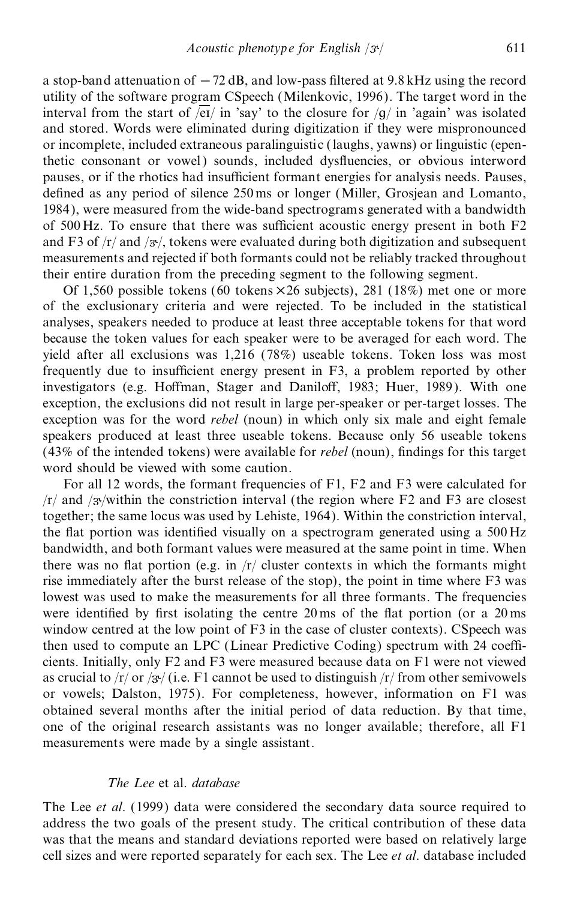a stop-band attenuation of  $-72$  dB, and low-pass filtered at 9.8 kHz using the record utility of the software program CSpeech (Milenkovic, 1996). The target word in the interval from the start of  $\sqrt{\text{ei}}$  in 'say' to the closure for  $\sqrt{g}$  in 'again' was isolated and stored. Words were eliminated during digitization if they were mispronounced or incomplete, included extraneous paralinguistic (laughs, yawns) or linguistic (epenthetic consonant or vowel) sounds, included dysfluencies, or obvious interword pauses, or if the rhotics had insufficient formant energies for analysis needs. Pauses, defined as any period of silence 250 ms or longer (Miller, Grosjean and Lomanto, 1984), were measured from the wide-band spectrograms generated with a bandwidth of  $500$  Hz. To ensure that there was sufficient acoustic energy present in both F2 and F3 of  $/r$  and  $\frac{3\pi}{2}$ , tokens were evaluated during both digitization and subsequent measurements and rejected if both formants could not be reliably tracked throughout their entire duration from the preceding segment to the following segment.

Of 1,560 possible tokens (60 tokens  $\times$  26 subjects), 281 (18%) met one or more of the exclusionary criteria and were rejected. To be included in the statistical analyses, speakers needed to produce at least three acceptable tokens for that word because the token values for each speaker were to be averaged for each word. The yield after all exclusions was 1,216 (78%) useable tokens. Token loss was most frequently due to insufficient energy present in F3, a problem reported by other investigators (e.g. Hoffman, Stager and Daniloff, 1983; Huer, 1989). With one exception, the exclusions did not result in large per-speaker or per-target losses. The exception was for the word *rebel* (noun) in which only six male and eight female speakers produced at least three useable tokens. Because only 56 useable tokens  $(43\% \text{ of the intended tokens})$  were available for *rebel* (noun), findings for this target word should be viewed with some caution.

For all 12 words, the formant frequencies of F1, F2 and F3 were calculated for  $/r/$  and  $/3$ <sup>-</sup>/within the constriction interval (the region where F2 and F3 are closest together; the same locus was used by Lehiste, 1964). Within the constriction interval, the flat portion was identified visually on a spectrogram generated using a  $500 \text{ Hz}$ bandwidth, and both formant values were measured at the same point in time. When there was no flat portion (e.g. in  $/r/$  cluster contexts in which the formants might rise immediately after the burst release of the stop), the point in time where F3 was lowest was used to make the measurements for all three formants. The frequencies were identified by first isolating the centre  $20 \text{ ms}$  of the flat portion (or a  $20 \text{ ms}$ ) window centred at the low point of F3 in the case of cluster contexts). CSpeech was then used to compute an LPC (Linear Predictive Coding) spectrum with 24 coefficients. Initially, only F2 and F3 were measured because data on F1 were not viewed as crucial to  $\frac{r}{\sqrt{r}}$  or  $\frac{r}{3\sqrt{r}}$  (i.e. F1 cannot be used to distinguish  $\frac{r}{r}$  from other semivowels or vowels; Dalston, 1975). For completeness, however, information on F1 was obtained several months after the initial period of data reduction. By that time, one of the original research assistants was no longer available; therefore, all F1 measurements were made by a single assistant.

#### *The Lee* et al. *database*

The Lee *et al*. (1999) data were considered the secondary data source required to address the two goals of the present study. The critical contribution of these data was that the means and standard deviations reported were based on relatively large cell sizes and were reported separately for each sex. The Lee *et al*. database included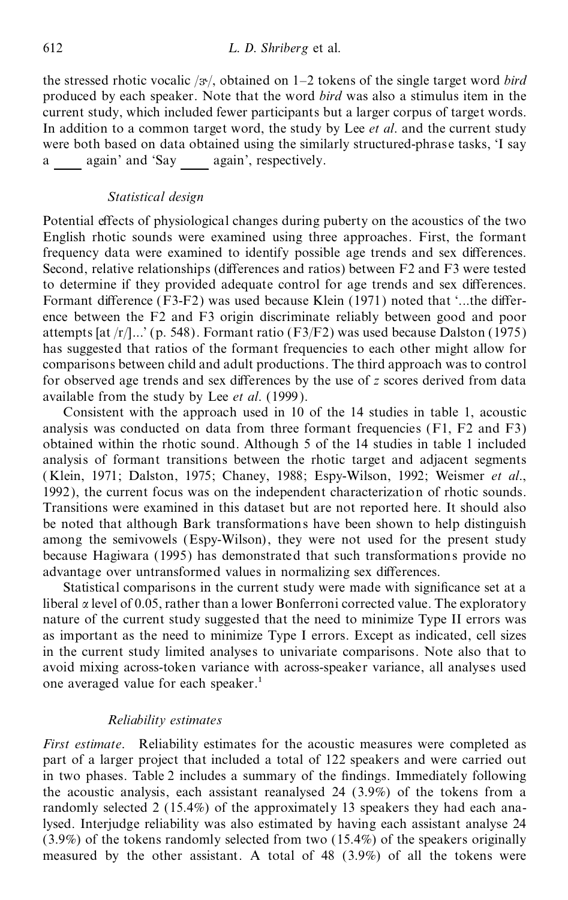the stressed rhotic vocalic  $/3$ , obtained on 1–2 tokens of the single target word *bird* produced by each speaker. Note that the word *bird* was also a stimulus item in the current study, which included fewer participants but a larger corpus of target words. In addition to a common target word, the study by Lee *et al*. and the current study were both based on data obtained using the similarly structured-phrase tasks, 'I say a again' and 'Say again', respectively.

#### *Statistical design*

Potential effects of physiological changes during puberty on the acoustics of the two English rhotic sounds were examined using three approaches. First, the formant frequency data were examined to identify possible age trends and sex differences. Second, relative relationships (differences and ratios) between  $F2$  and  $F3$  were tested to determine if they provided adequate control for age trends and sex differences. Formant difference  $(F3-F2)$  was used because Klein  $(1971)$  noted that  $\ldots$ , the difference between the F2 and F3 origin discriminate reliably between good and poor attempts [at  $/r/l$ ...' (p. 548). Formant ratio (F3/F2) was used because Dalston (1975) has suggested that ratios of the formant frequencies to each other might allow for comparisons between child and adult productions. The third approach was to control for observed age trends and sex differences by the use of *z* scores derived from data available from the study by Lee *et al*. (1999 ).

Consistent with the approach used in 10 of the 14 studies in table 1, acoustic analysis was conducted on data from three formant frequencies (F1, F2 and F3) obtained within the rhotic sound. Although 5 of the 14 studies in table 1 included analysis of formant transitions between the rhotic target and adjacent segments ( Klein, 1971; Dalston, 1975; Chaney, 1988; Espy-Wilson, 1992; Weismer *et al*., 1992), the current focus was on the independent characterization of rhotic sounds. Transitions were examined in this dataset but are not reported here. It should also be noted that although Bark transformations have been shown to help distinguish among the semivowels (Espy-Wilson), they were not used for the present study because Hagiwara (1995) has demonstrated that such transformations provide no advantage over untransformed values in normalizing sex differences.

Statistical comparisons in the current study were made with significance set at a liberal  $\alpha$  level of 0.05, rather than a lower Bonferroni corrected value. The exploratory nature of the current study suggested that the need to minimize Type II errors was as important as the need to minimize Type I errors. Except as indicated, cell sizes in the current study limited analyses to univariate comparisons. Note also that to avoid mixing across-token variance with across-speaker variance, all analyses used one averaged value for each speaker.<sup>1</sup>

#### *Reliability estimates*

*First estimate*. Reliability estimates for the acoustic measures were completed as part of a larger project that included a total of 122 speakers and were carried out in two phases. Table 2 includes a summary of the findings. Immediately following the acoustic analysis, each assistant reanalysed 24 (3.9%) of the tokens from a randomly selected 2 (15.4%) of the approximately 13 speakers they had each analysed. Interjudge reliability was also estimated by having each assistant analyse 24 (3.9%) of the tokens randomly selected from two (15.4%) of the speakers originally measured by the other assistant. A total of 48 (3.9%) of all the tokens were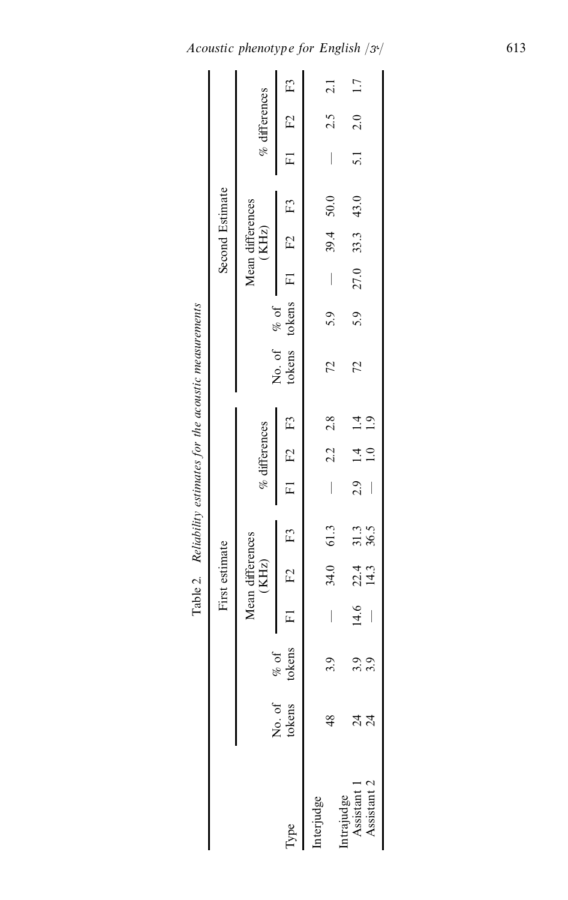| measur            |  |
|-------------------|--|
| : acoustr         |  |
|                   |  |
|                   |  |
| estimates for the |  |
| thili<br>j.       |  |
| j                 |  |

|                                          |                                                                             |   |                                   |  |                                |                  | Table 2. Reliability estimates for the acoustic measurements   |     |          |                             |                 |                  |               |
|------------------------------------------|-----------------------------------------------------------------------------|---|-----------------------------------|--|--------------------------------|------------------|----------------------------------------------------------------|-----|----------|-----------------------------|-----------------|------------------|---------------|
|                                          |                                                                             |   | First estimate                    |  |                                |                  |                                                                |     |          | Second Estimate             |                 |                  |               |
|                                          |                                                                             |   | Mean differences<br>$(KHz)$       |  | $\%$ differences               |                  |                                                                |     |          | Mean differences<br>$(KHz)$ |                 | $\%$ differences |               |
| <b>Lype</b>                              | No. of $\begin{array}{cc} \n\% & \text{of} \\ \text{tokens} \\ \end{array}$ |   | $F1$ $F2$ $F3$                    |  | F1 F2 F3                       |                  | No. of $\%$ of $\overline{F1}$ F2 F3<br>tokens tokens F1 F2 F3 |     |          |                             |                 | $F1$ $F2$ $F3$   |               |
| iterjudge                                |                                                                             | σ | 34.0 61.3                         |  | $2.2\ 2.8$                     |                  | 72                                                             | 5.9 | $\bigg $ | $39.4$ 50.0                 |                 | 2.5              | $\frac{1}{2}$ |
|                                          |                                                                             |   |                                   |  |                                |                  |                                                                |     |          |                             |                 |                  |               |
| Intrajudge<br>Assistant 1<br>Assistant 2 | र्य<br>द                                                                    | ਼ | $14.6$ 22.4 31.3<br>$-$ 14.3 36.5 |  | $2.9$ 1.4 1.4<br>$\frac{0}{1}$ | $\overline{1.9}$ | 72                                                             | 5.9 | 27.0     | 33.3 43.0                   | $\overline{51}$ | 2.0              | 1.7           |
|                                          |                                                                             |   |                                   |  |                                |                  |                                                                |     |          |                             |                 |                  |               |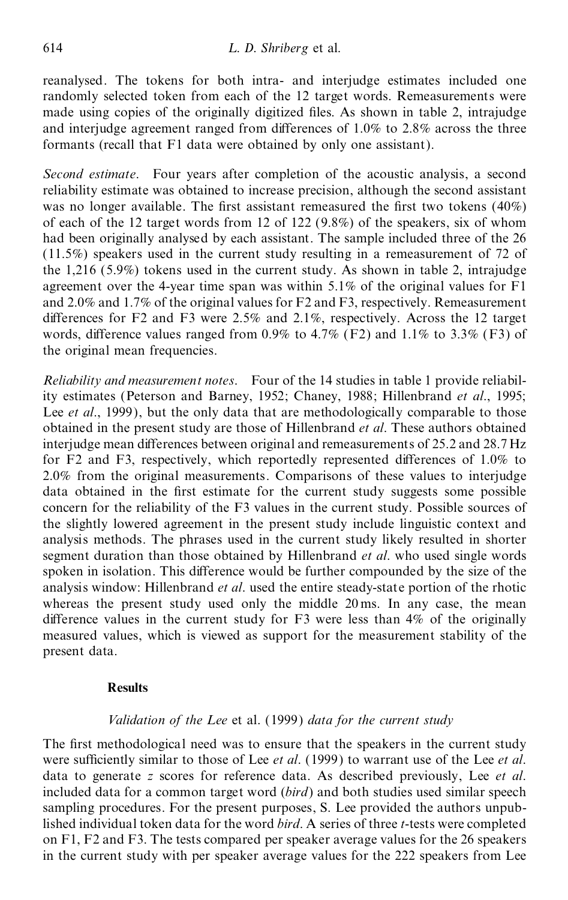reanalysed. The tokens for both intra- and interjudge estimates included one randomly selected token from each of the 12 target words. Remeasurements were made using copies of the originally digitized files. As shown in table 2, intrajudge and interjudge agreement ranged from differences of  $1.0\%$  to  $2.8\%$  across the three formants (recall that F1 data were obtained by only one assistant).

*Second estimate*. Four years after completion of the acoustic analysis, a second reliability estimate was obtained to increase precision, although the second assistant was no longer available. The first assistant remeasured the first two tokens  $(40\%)$ of each of the 12 target words from 12 of 122  $(9.8\%)$  of the speakers, six of whom had been originally analysed by each assistant. The sample included three of the 26 (11.5%) speakers used in the current study resulting in a remeasurement of 72 of the 1,216 (5.9%) tokens used in the current study. As shown in table 2, intrajudge agreement over the 4-year time span was within 5.1% of the original values for F1 and 2.0% and 1.7% of the original values for F2 and F3, respectively. Remeasurement differences for F2 and F3 were  $2.5\%$  and  $2.1\%$ , respectively. Across the 12 target words, difference values ranged from 0.9% to 4.7% (F2) and 1.1% to 3.3% (F3) of the original mean frequencies.

*Reliability and measurement notes*. Four of the 14 studies in table 1 provide reliability estimates (Peterson and Barney, 1952; Chaney, 1988; Hillenbrand *et al*., 1995; Lee *et al*., 1999), but the only data that are methodologically comparable to those obtained in the present study are those of Hillenbrand *et al*. These authors obtained interjudge mean differences between original and remeasurements of 25.2 and 28.7 Hz for F2 and F3, respectively, which reportedly represented differences of  $1.0\%$  to 2.0% from the original measurements. Comparisons of these values to interjudge data obtained in the first estimate for the current study suggests some possible concern for the reliability of the F3 values in the current study. Possible sources of the slightly lowered agreement in the present study include linguistic context and analysis methods. The phrases used in the current study likely resulted in shorter segment duration than those obtained by Hillenbrand *et al*. who used single words spoken in isolation. This difference would be further compounded by the size of the analysis window: Hillenbrand *et al*. used the entire steady-state portion of the rhotic whereas the present study used only the middle 20 ms. In any case, the mean difference values in the current study for  $F3$  were less than  $4\%$  of the originally measured values, which is viewed as support for the measurement stability of the present data.

# **Results**

#### *Validation of the Lee* et al. (1999) *data for the current study*

The first methodological need was to ensure that the speakers in the current study were sufficiently similar to those of Lee *et al.* (1999) to warrant use of the Lee *et al.* data to generate *z* scores for reference data. As described previously, Lee *et al*. included data for a common target word (*bird*) and both studies used similar speech sampling procedures. For the present purposes, S. Lee provided the authors unpublished individual token data for the word *bird*. A series of three *t*-tests were completed on F1, F2 and F3. The tests compared per speaker average values for the 26 speakers in the current study with per speaker average values for the 222 speakers from Lee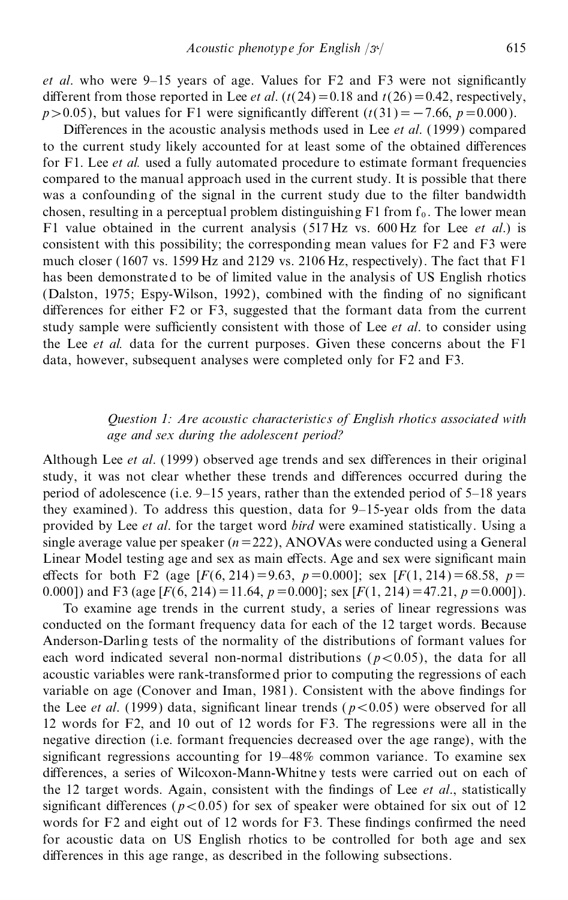*et al.* who were  $9-15$  years of age. Values for F2 and F3 were not significantly different from those reported in Lee *et al.*  $(t(24)=0.18$  and  $t(26)=0.42$ , respectively,  $p > 0.05$ , but values for F1 were significantly different ( $t(31) = -7.66$ ,  $p = 0.000$ ).

Differences in the acoustic analysis methods used in Lee *et al.* (1999) compared to the current study likely accounted for at least some of the obtained differences for F1. Lee *et al.* used a fully automated procedure to estimate formant frequencies compared to the manual approach used in the current study. It is possible that there was a confounding of the signal in the current study due to the filter bandwidth chosen, resulting in a perceptual problem distinguishing  $F1$  from  $f_0$ . The lower mean F1 value obtained in the current analysis (517 Hz vs. 600 Hz for Lee *et al*.) is consistent with this possibility; the corresponding mean values for F2 and F3 were much closer (1607 vs. 1599 Hz and 2129 vs. 2106 Hz, respectively). The fact that F1 has been demonstrated to be of limited value in the analysis of US English rhotics (Dalston, 1975; Espy-Wilson, 1992), combined with the finding of no significant differences for either  $F2$  or  $F3$ , suggested that the formant data from the current study sample were sufficiently consistent with those of Lee *et al.* to consider using the Lee *et al.* data for the current purposes. Given these concerns about the F1 data, however, subsequent analyses were completed only for F2 and F3.

# *Question 1: Are acoustic characteristics of English rhotics associated with age and sex during the adolescent period?*

Although Lee *et al.* (1999) observed age trends and sex differences in their original study, it was not clear whether these trends and differences occurred during the period of adolescence (i.e.  $9-15$  years, rather than the extended period of  $5-18$  years they examined). To address this question, data for  $9-15$ -year olds from the data provided by Lee *et al*. for the target word *bird* were examined statistically. Using a single average value per speaker  $(n=222)$ , ANOVAs were conducted using a General Linear Model testing age and sex as main effects. Age and sex were significant main effects for both F2 (age  $[F(6, 214) = 9.63, p = 0.000]$ ; sex  $[F(1, 214) = 68.58, p =$ 0.000]) and F3 (age  $[F(6, 214) = 11.64, p = 0.000]$ ; sex  $[F(1, 214) = 47.21, p = 0.000]$ ).

To examine age trends in the current study, a series of linear regressions was conducted on the formant frequency data for each of the 12 target words. Because Anderson-Darling tests of the normality of the distributions of formant values for each word indicated several non-normal distributions ( $p < 0.05$ ), the data for all acoustic variables were rank-transformed prior to computing the regressions of each variable on age (Conover and Iman, 1981). Consistent with the above findings for the Lee *et al.* (1999) data, significant linear trends ( $p < 0.05$ ) were observed for all 12 words for F2, and 10 out of 12 words for F3. The regressions were all in the negative direction (i.e. formant frequencies decreased over the age range), with the significant regressions accounting for 19-48% common variance. To examine sex differences, a series of Wilcoxon-Mann-Whitney tests were carried out on each of the 12 target words. Again, consistent with the findings of Lee *et al.*, statistically significant differences ( $p < 0.05$ ) for sex of speaker were obtained for six out of 12 words for  $F2$  and eight out of 12 words for  $F3$ . These findings confirmed the need for acoustic data on US English rhotics to be controlled for both age and sex differences in this age range, as described in the following subsections.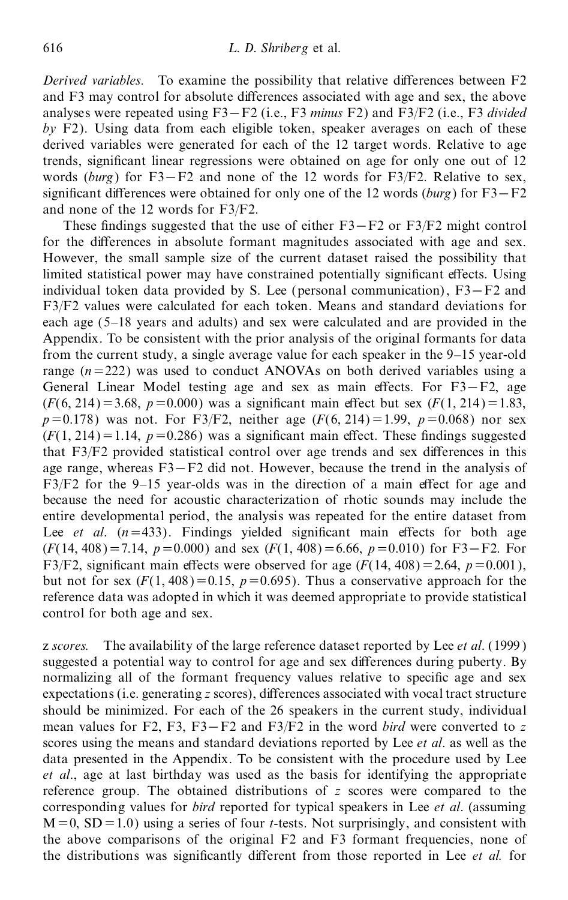*Derived variables.* To examine the possibility that relative differences between F2 and F3 may control for absolute differences associated with age and sex, the above analyses were repeated using F3-F2 (i.e., F3 *minus* F2) and F3/F2 (i.e., F3 *divided by* F2). Using data from each eligible token, speaker averages on each of these derived variables were generated for each of the 12 target words. Relative to age trends, significant linear regressions were obtained on age for only one out of 12 words (burg) for F3–F2 and none of the 12 words for F3/F2. Relative to sex, significant differences were obtained for only one of the 12 words (*burg*) for  $F3-F2$ and none of the 12 words for F3/F2.

These findings suggested that the use of either  $F3-F2$  or  $F3/F2$  might control for the differences in absolute formant magnitudes associated with age and sex. However, the small sample size of the current dataset raised the possibility that limited statistical power may have constrained potentially significant effects. Using individual token data provided by S. Lee (personal communication),  $F3-F2$  and F3/F2 values were calculated for each token. Means and standard deviations for each age (5-18 years and adults) and sex were calculated and are provided in the Appendix. To be consistent with the prior analysis of the original formants for data from the current study, a single average value for each speaker in the  $9-15$  year-old range  $(n=222)$  was used to conduct ANOVAs on both derived variables using a General Linear Model testing age and sex as main effects. For  $F3-F2$ , age  $(F(6, 214)=3.68, p=0.000)$  was a significant main effect but sex  $(F(1, 214)=1.83,$  $p=0.178$ ) was not. For F3/F2, neither age ( $F(6, 214) = 1.99$ ,  $p=0.068$ ) nor sex  $(F(1, 214) = 1.14, p = 0.286)$  was a significant main effect. These findings suggested that  $F3/F2$  provided statistical control over age trends and sex differences in this age range, whereas  $F3 - F2$  did not. However, because the trend in the analysis of  $F3/F2$  for the 9-15 year-olds was in the direction of a main effect for age and because the need for acoustic characterization of rhotic sounds may include the entire developmental period, the analysis was repeated for the entire dataset from Lee *et al.*  $(n=433)$ . Findings yielded significant main effects for both age  $(F(14, 408) = 7.14, p = 0.000)$  and sex  $(F(1, 408) = 6.66, p = 0.010)$  for F3–F2. For F3/F2, significant main effects were observed for age  $(F(14, 408) = 2.64, p = 0.001)$ , but not for sex  $(F(1, 408) = 0.15, p = 0.695)$ . Thus a conservative approach for the reference data was adopted in which it was deemed appropriate to provide statistical control for both age and sex.

z *scores.* The availability of the large reference dataset reported by Lee *et al*. (1999 ) suggested a potential way to control for age and sex differences during puberty. By normalizing all of the formant frequency values relative to specific age and sex expectations (i.e. generating *z* scores), differences associated with vocal tract structure should be minimized. For each of the 26 speakers in the current study, individual mean values for F2, F3, F3–F2 and F3/F2 in the word *bird* were converted to  $\overline{z}$ scores using the means and standard deviations reported by Lee *et al*. as well as the data presented in the Appendix. To be consistent with the procedure used by Lee *et al*., age at last birthday was used as the basis for identifying the appropriate reference group. The obtained distributions of *z* scores were compared to the corresponding values for *bird* reported for typical speakers in Lee *et al*. (assuming  $M = 0$ ,  $SD = 1.0$ ) using a series of four *t*-tests. Not surprisingly, and consistent with the above comparisons of the original F2 and F3 formant frequencies, none of the distributions was significantly different from those reported in Lee *et al.* for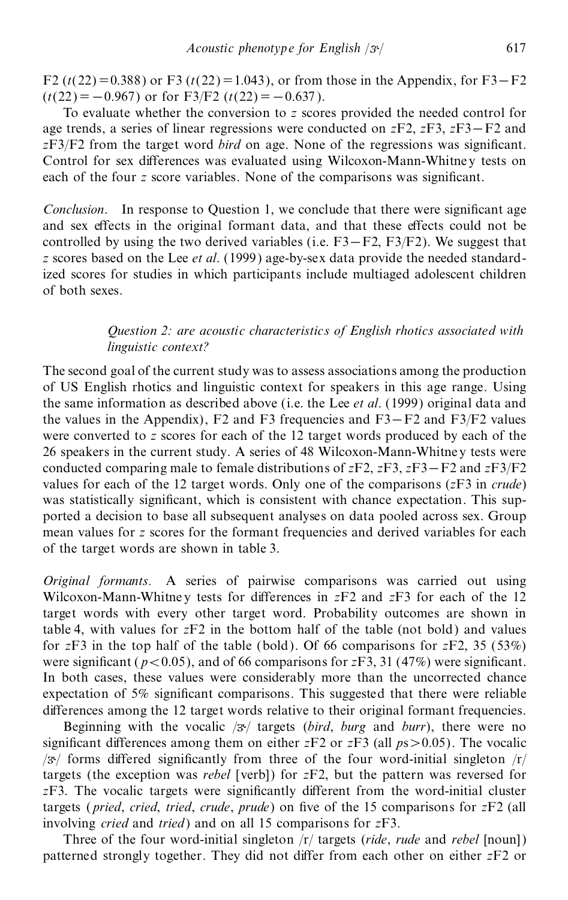F2 ( $t(22) = 0.388$ ) or F3 ( $t(22) = 1.043$ ), or from those in the Appendix, for F3–F2  $(t(22)=-0.967)$  or for F3/F2  $(t(22)=-0.637)$ .

To evaluate whether the conversion to *z* scores provided the needed control for age trends, a series of linear regressions were conducted on  $zF2$ ,  $zF3$ ,  $zF3-F2$  and *zF3/F2* from the target word *bird* on age. None of the regressions was significant. Control for sex differences was evaluated using Wilcoxon-Mann-Whitney tests on each of the four *z* score variables. None of the comparisons was significant.

*Conclusion*. In response to Question 1, we conclude that there were significant age and sex effects in the original formant data, and that these effects could not be controlled by using the two derived variables (i.e.  $F3-F2$ ,  $F3/F2$ ). We suggest that *z* scores based on the Lee *et al*. (1999) age-by-sex data provide the needed standardized scores for studies in which participants include multiaged adolescent children of both sexes.

# *Question 2: are acoustic characteristics of English rhotics associated with linguistic context?*

The second goal of the current study was to assess associations among the production of US English rhotics and linguistic context for speakers in this age range. Using the same information as described above (i.e. the Lee *et al*. (1999) original data and the values in the Appendix),  $F2$  and  $F3$  frequencies and  $F3-F2$  and  $F3/F2$  values were converted to *z* scores for each of the 12 target words produced by each of the 26 speakers in the current study. A series of 48 Wilcoxon-Mann-Whitne y tests were conducted comparing male to female distributions of  $zF2$ ,  $zF3$ ,  $zF3 - F2$  and  $zF3/F2$ values for each of the 12 target words. Only one of the comparisons (*z*F3 in *crude*) was statistically significant, which is consistent with chance expectation. This supported a decision to base all subsequent analyses on data pooled across sex. Group mean values for *z* scores for the formant frequencies and derived variables for each of the target words are shown in table 3.

*Original formants.* A series of pairwise comparisons was carried out using Wilcoxon-Mann-Whitney tests for differences in  $zF2$  and  $zF3$  for each of the 12 target words with every other target word. Probability outcomes are shown in table 4, with values for *z*F2 in the bottom half of the table (not bold) and values for *z*F3 in the top half of the table (bold). Of 66 comparisons for *z*F2, 35 (53%) were significant ( $p < 0.05$ ), and of 66 comparisons for *z*F3, 31 (47%) were significant. In both cases, these values were considerably more than the uncorrected chance expectation of  $5\%$  significant comparisons. This suggested that there were reliable differences among the 12 target words relative to their original formant frequencies.

Beginning with the vocalic  $\mathcal{B}/$  targets (*bird*, *burg* and *burr*), there were no significant differences among them on either *zF2* or *zF3* (all  $p s > 0.05$ ). The vocalic  $/3$  forms differed significantly from three of the four word-initial singleton  $/r/$ targets (the exception was *rebel* [verb]) for *z*F2, but the pattern was reversed for  $zF3$ . The vocalic targets were significantly different from the word-initial cluster targets (*pried*, *cried*, *tried*, *crude*, *prude*) on five of the 15 comparisons for  $zF2$  (all involving *cried* and *tried*) and on all 15 comparisons for *z*F3.

Three of the four word-initial singleton /r/ targets (*ride*, *rude* and *rebel* [noun]) patterned strongly together. They did not differ from each other on either *zF2* or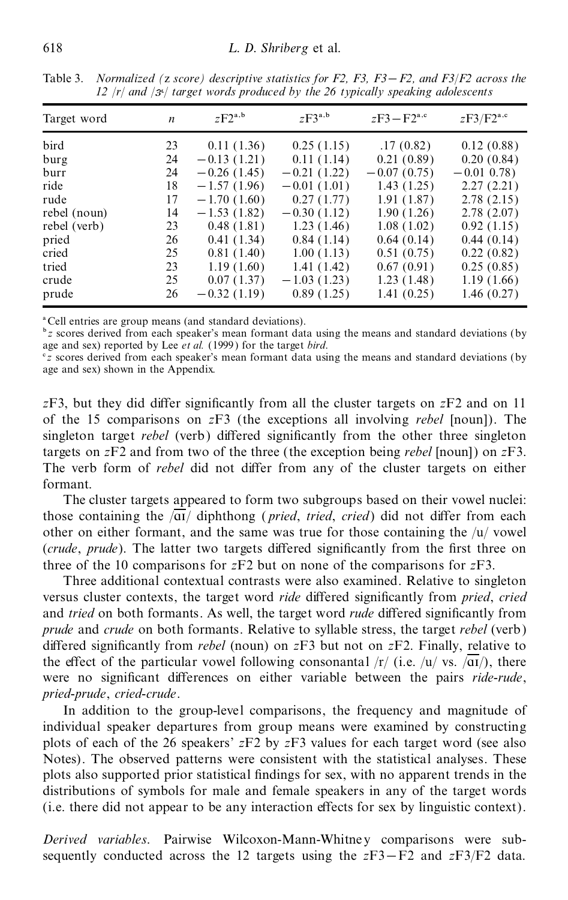| Target word  | n  | $zF2^{a,b}$   | $zF3^{a,b}$   | $zF3 - F2^{a,c}$ | $zF3/F2^{a,c}$ |
|--------------|----|---------------|---------------|------------------|----------------|
| bird         | 23 | 0.11(1.36)    | 0.25(1.15)    | .17(0.82)        | 0.12(0.88)     |
| burg         | 24 | $-0.13(1.21)$ | 0.11(1.14)    | 0.21(0.89)       | 0.20(0.84)     |
| burr         | 24 | $-0.26(1.45)$ | $-0.21(1.22)$ | $-0.07(0.75)$    | $-0.01$ 0.78)  |
| ride         | 18 | $-1.57(1.96)$ | $-0.01(1.01)$ | 1.43(1.25)       | 2.27(2.21)     |
| rude         | 17 | $-1.70(1.60)$ | 0.27(1.77)    | 1.91(1.87)       | 2.78(2.15)     |
| rebel (noun) | 14 | $-1.53(1.82)$ | $-0.30(1.12)$ | 1.90(1.26)       | 2.78(2.07)     |
| rebel (verb) | 23 | 0.48(1.81)    | 1.23(1.46)    | 1.08(1.02)       | 0.92(1.15)     |
| pried        | 26 | 0.41(1.34)    | 0.84(1.14)    | 0.64(0.14)       | 0.44(0.14)     |
| cried        | 25 | 0.81(1.40)    | 1.00(1.13)    | 0.51(0.75)       | 0.22(0.82)     |
| tried        | 23 | 1.19(1.60)    | 1.41(1.42)    | 0.67(0.91)       | 0.25(0.85)     |
| crude        | 25 | 0.07(1.37)    | $-1.03(1.23)$ | 1.23(1.48)       | 1.19(1.66)     |
| prude        | 26 | $-0.32(1.19)$ | 0.89(1.25)    | 1.41(0.25)       | 1.46(0.27)     |

Table 3. *Normalized (*z *score) descriptive statistics for F2, F3, F3*Õ *F2, and F3*/*F2 across the 12* /*r*/ *and* / / *target words produced by the 26 typically speaking adolescents*

a Cell entries are group means (and standard deviations).

<sup>b</sup> *z* scores derived from each speaker's mean formant data using the means and standard deviations (by age and sex) reported by Lee *et al.* (1999) for the target *bird*.

<sup>c</sup>z scores derived from each speaker's mean formant data using the means and standard deviations (by age and sex) shown in the Appendix.

 $zF3$ , but they did differ significantly from all the cluster targets on  $zF2$  and on 11 of the 15 comparisons on *z*F3 (the exceptions all involving *rebel* [noun]). The singleton target *rebel* (verb) differed significantly from the other three singleton targets on *z*F2 and from two of the three (the exception being *rebel* [noun]) on *z*F3. The verb form of *rebel* did not differ from any of the cluster targets on either formant.

The cluster targets appeared to form two subgroups based on their vowel nuclei: those containing the  $\sqrt{aI}$  diphthong (*pried, tried, cried*) did not differ from each other on either formant, and the same was true for those containing the  $/u$  vowel (*crude*, *prude*). The latter two targets differed significantly from the first three on three of the 10 comparisons for *z*F2 but on none of the comparisons for *z*F3.

Three additional contextual contrasts were also examined. Relative to singleton versus cluster contexts, the target word *ride* differed significantly from *pried*, *cried* and *tried* on both formants. As well, the target word *rude* differed significantly from *prude* and *crude* on both formants. Relative to syllable stress, the target *rebel* (verb) differed significantly from *rebel* (noun) on  $zF3$  but not on  $zF2$ . Finally, relative to the effect of the particular vowel following consonantal  $\frac{r}{i}$  (i.e.  $\frac{u}{v}$  vs.  $\frac{\overline{du}}{)}$ , there were no significant differences on either variable between the pairs *ride-rude*, *pried-prude*, *cried-crude*.

In addition to the group-level comparisons, the frequency and magnitude of individual speaker departures from group means were examined by constructing plots of each of the 26 speakers' *z*F2 by *z*F3 values for each target word (see also Notes). The observed patterns were consistent with the statistical analyses. These plots also supported prior statistical findings for sex, with no apparent trends in the distributions of symbols for male and female speakers in any of the target words (i.e. there did not appear to be any interaction effects for sex by linguistic context).

*Derived variables*. Pairwise Wilcoxon-Mann-Whitne y comparisons were sub sequently conducted across the 12 targets using the  $zF3-F2$  and  $zF3/F2$  data.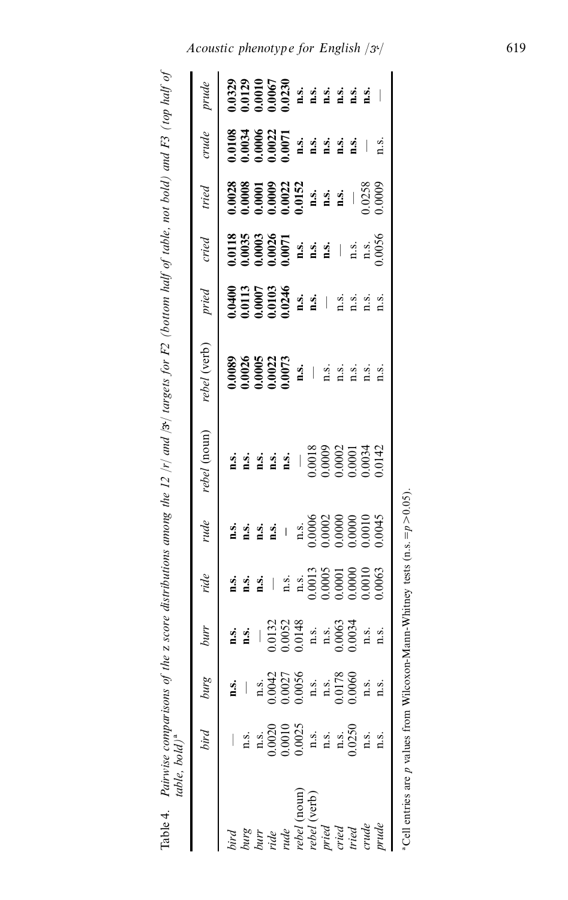Table 4. Pairwise comparisons of the z score distributions among the 12 /r/ and /3 $\gamma$  targets for F2 (bottom half of table, not bold) and F3 (top half of table, bold)<sup>a</sup> Table 4. Pairwise comparisons of the z score distributions among the 12 /r/ and /3<sup>,</sup>/ targets for F2 (bottom half of table, not bold) and F3 (top half of of the political political of the score distributions among the 12

|               | prude        |      | 1,0329<br>1,0120<br>1,00067<br>1,00067<br>1,00067<br>1,00061<br>1,00061<br>1,00061<br>1,00061<br>1,00061<br>1,00061                                                                                                                                                                                                                                                                             |      |                                                                                                                              |             |             |              |                |                |       |                                                                                                                         |                                                                                 |  |
|---------------|--------------|------|-------------------------------------------------------------------------------------------------------------------------------------------------------------------------------------------------------------------------------------------------------------------------------------------------------------------------------------------------------------------------------------------------|------|------------------------------------------------------------------------------------------------------------------------------|-------------|-------------|--------------|----------------|----------------|-------|-------------------------------------------------------------------------------------------------------------------------|---------------------------------------------------------------------------------|--|
|               | crude        |      | $\begin{array}{l} 0.0034\\ 0.0034\\ 0.0002\\ 0.0001\\ 0.0001\\ 0.0011\\ \text{if } 2 & 3 & 4\\ 1 & 2 & 1\\ 1 & 3 & 4\\ 1 & 2 & 3\\ 1 & 3 & 4\\ 1 & 2 & 3\\ 1 & 3 & 4\\ 1 & 3 & 4\\ 1 & 3 & 4\\ 1 & 3 & 4\\ 1 & 3 & 5\\ 1 & 3 & 5\\ 1 & 3 & 5\\ 1 & 3 & 5\\ 1 & 3 & 5\\ 1 & 3 & 5\\ 1 & 3 & 5\\ 1 & 3 & $                                                                                        |      |                                                                                                                              |             |             |              |                |                |       |                                                                                                                         |                                                                                 |  |
|               | tried        |      | 0028<br>0.0000 0022<br>0.0000 0.0022<br>0.0023<br>0.0023<br>0.0000 0.0000                                                                                                                                                                                                                                                                                                                       |      |                                                                                                                              |             |             |              |                |                |       |                                                                                                                         |                                                                                 |  |
|               | $cried$      |      |                                                                                                                                                                                                                                                                                                                                                                                                 |      |                                                                                                                              |             |             |              |                |                |       | <b>0.018<br/>0.0035</b><br>0.00026<br>0.0071<br><b>1.3.</b><br><b>1.3.</b><br><b>1.3.</b><br><b>1.3.</b><br><b>1.3.</b> |                                                                                 |  |
|               | pried        |      | 0.0400<br>0.0113<br>0.0000 0.0246<br>0.0246<br>n.s.<br>n.s.<br>n.s.                                                                                                                                                                                                                                                                                                                             |      |                                                                                                                              |             |             |              |                |                |       | n.s.                                                                                                                    |                                                                                 |  |
|               | rebel (verb) |      | 0089<br>0.0022<br>0.00073<br><b>1.0073</b><br><b>1.0073</b><br><b>1.0073</b><br><b>1.0073</b><br><b>1.0073</b>                                                                                                                                                                                                                                                                                  |      |                                                                                                                              |             |             |              |                |                |       |                                                                                                                         |                                                                                 |  |
|               | rebel (noun) |      | $\begin{array}{c} \textbf{13.4} \\ \textbf{25.4} \\ \textbf{36.5} \\ \textbf{47.5} \\ \textbf{58.6} \\ \textbf{69.6} \\ \textbf{70.6} \\ \textbf{81.7} \\ \textbf{9.8} \\ \textbf{10.8} \\ \textbf{11.9} \\ \textbf{12.9} \\ \textbf{13.0} \\ \textbf{14.0} \\ \textbf{15.0} \\ \textbf{16.0} \\ \textbf{17.0} \\ \textbf{18.0} \\ \textbf{19.0} \\ \textbf{19.0} \\ \textbf{19.0} \\ \textbf{$ |      |                                                                                                                              |             |             |              |                |                |       |                                                                                                                         |                                                                                 |  |
|               | rude         |      |                                                                                                                                                                                                                                                                                                                                                                                                 |      |                                                                                                                              |             |             |              |                |                |       |                                                                                                                         |                                                                                 |  |
|               | ride         |      | <b>1.5.</b><br><b>1.5.</b><br><b>1.5.</b><br><b>1.5.</b><br><b>1.5.</b><br><b>1.00010<br/> 1.00010<br/> 1.0003<br/> 1.0003</b>                                                                                                                                                                                                                                                                  |      |                                                                                                                              |             |             |              |                |                |       |                                                                                                                         |                                                                                 |  |
|               | burr         |      | <b>1.5.</b><br>$\frac{1}{2}$ 1.0132<br>$\frac{1}{2}$ 1.0132<br>$\frac{1}{2}$ 1.3.<br>$\frac{1}{2}$ 1.3.<br>$\frac{1}{2}$ 1.3.<br>$\frac{1}{2}$ 1.3.                                                                                                                                                                                                                                             |      |                                                                                                                              |             |             |              |                |                |       |                                                                                                                         |                                                                                 |  |
|               | burg         | 1.5. |                                                                                                                                                                                                                                                                                                                                                                                                 |      | $\begin{array}{l} \n 0.0042 \\  0.0027 \\  0.0056 \\  0.0056 \\  \text{m.s.} \\  0.0178 \\  0.0178 \\  0.0060\n \end{array}$ |             |             |              |                |                | n.s.  | n.s.                                                                                                                    |                                                                                 |  |
| table, bold)ª | bird         |      | n.s.                                                                                                                                                                                                                                                                                                                                                                                            |      | n.s.<br>0.0020<br>0.0010<br>0.0025                                                                                           |             |             | n.s.<br>n.s. |                | n.s.<br>0.0250 | 1.5.  | $\ddot{a}$                                                                                                              |                                                                                 |  |
|               |              |      | burg<br>burr                                                                                                                                                                                                                                                                                                                                                                                    | ride | rude                                                                                                                         | ebel (noun) | ebel (verb) |              | pried<br>cried | tried          | crude | mude                                                                                                                    | Cell entries are p values from Wilcoxon-Mann-Whitney tests (n.s. $=p > 0.05$ ). |  |

*Acoustic phenotype for English*  $/3^{t}/$  619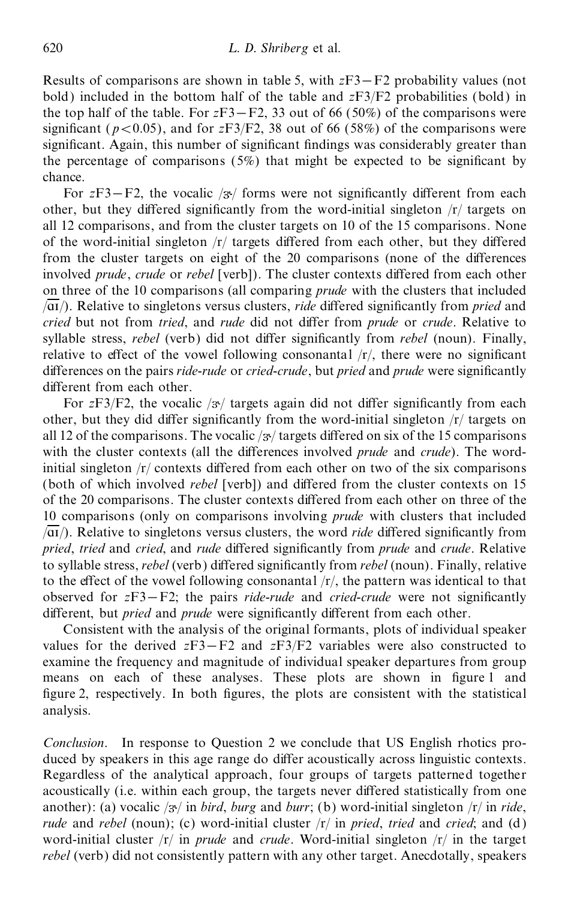Results of comparisons are shown in table 5, with  $zF3-F2$  probability values (not bold) included in the bottom half of the table and *z*F3/F2 probabilities (bold) in the top half of the table. For  $zF3-F2$ , 33 out of 66 (50%) of the comparisons were significant ( $p < 0.05$ ), and for  $zF3/F2$ , 38 out of 66 (58%) of the comparisons were significant. Again, this number of significant findings was considerably greater than the percentage of comparisons  $(5%)$  that might be expected to be significant by chance.

For  $zF3-F2$ , the vocalic  $/3$ <sup>t</sup> forms were not significantly different from each other, but they differed significantly from the word-initial singleton  $/r/$  targets on all 12 comparisons, and from the cluster targets on 10 of the 15 comparisons. None of the word-initial singleton  $/r$  targets differed from each other, but they differed from the cluster targets on eight of the 20 comparisons (none of the differences involved *prude*, *crude* or *rebel* [verb]). The cluster contexts differed from each other on three of the 10 comparisons (all comparing *prude* with the clusters that included  $\overline{A}$ . Relative to singletons versus clusters, *ride* differed significantly from *pried* and *cried* but not from *tried*, and *rude* did not differ from *prude* or *crude*. Relative to syllable stress, *rebel* (verb) did not differ significantly from *rebel* (noun). Finally, relative to effect of the vowel following consonantal  $/r/$ , there were no significant differences on the pairs *ride-rude* or *cried-crude*, but *pried* and *prude* were significantly different from each other.

For  $zF3/F2$ , the vocalic  $/3$ <sup> $\prime$ </sup> targets again did not differ significantly from each other, but they did differ significantly from the word-initial singleton  $/r/$  targets on all 12 of the comparisons. The vocalic  $\frac{1}{3}$  targets differed on six of the 15 comparisons with the cluster contexts (all the differences involved *prude* and *crude*). The wordinitial singleton  $/r$  contexts differed from each other on two of the six comparisons (both of which involved *rebel* [verb]) and differed from the cluster contexts on 15 of the 20 comparisons. The cluster contexts differed from each other on three of the 10 comparisons (only on comparisons involving *prude* with clusters that included  $\sqrt{a_1}$ . Relative to singletons versus clusters, the word *ride* differed significantly from *pried*, *tried* and *cried*, and *rude* differed significantly from *prude* and *crude*. Relative to syllable stress, *rebel* (verb) differed significantly from *rebel* (noun). Finally, relative to the effect of the vowel following consonantal  $\langle r \rangle$ , the pattern was identical to that observed for  $zF3-F2$ ; the pairs *ride-rude* and *cried-crude* were not significantly different, but *pried* and *prude* were significantly different from each other.

Consistent with the analysis of the original formants, plots of individual speaker values for the derived  $zF3-F2$  and  $zF3/F2$  variables were also constructed to examine the frequency and magnitude of individual speaker departures from group means on each of these analyses. These plots are shown in figure 1 and figure 2, respectively. In both figures, the plots are consistent with the statistical analysis.

*Conclusion*. In response to Question 2 we conclude that US English rhotics pro duced by speakers in this age range do differ acoustically across linguistic contexts. Regardless of the analytical approach, four groups of targets patterned together acoustically (i.e. within each group, the targets never differed statistically from one another): (a) vocalic / $3$ <sup>t</sup> in *bird*, *burg* and *burr*; (b) word-initial singleton /r/ in *ride*, *rude* and *rebel* (noun); (c) word-initial cluster /r/ in *pried*, *tried* and *cried*; and (d) word-initial cluster /r/ in *prude* and *crude*. Word-initial singleton /r/ in the target *rebel* (verb) did not consistently pattern with any other target. Anecdotally, speakers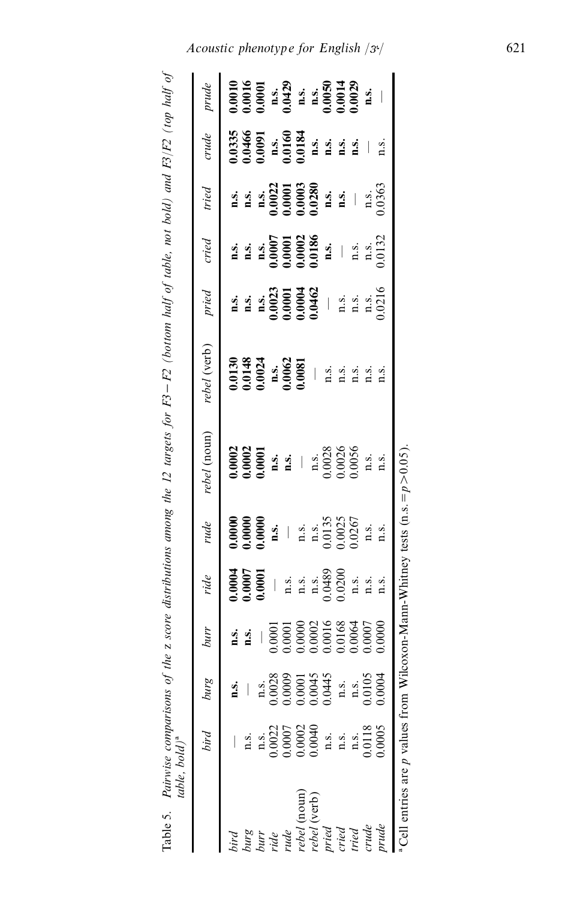Pairwise comparisons of the z score distributions among the 12 targets for F3 – F2 (bottom half of table, not bold) and F3/F2 (top half of<br>table, bold)\* Table 5.

| prude<br>crude<br>tried                                                                                                                                                                                                                                                                                                                                                                                                                |
|----------------------------------------------------------------------------------------------------------------------------------------------------------------------------------------------------------------------------------------------------------------------------------------------------------------------------------------------------------------------------------------------------------------------------------------|
| $\begin{array}{r} \text{1.3,} \\ \text{1.4,} \\ \text{1.5,} \\ \text{1.6022} \\ \text{1.0001} \\ \text{0.0003} \\ \text{0.003} \\ \text{0.002} \\ \text{1.4} \\ \text{1.5} \\ \text{1.6} \end{array}$<br><b>1.5.</b><br><b>1.5.</b><br><b>1.5.</b><br><b>1.6.000186</b><br><b>1.6.</b><br><b>1.6.</b><br><b>1.6.</b><br><b>1.6.</b><br><b>1.6.</b><br><b>1.6.</b><br><b>1.6.</b><br><b>1.6.</b><br><b>1.6.</b><br><b>1.6.</b><br>cried |
| n.s.<br>n.s.<br>n.s.<br>0.0023<br>0.0004<br>0.0004<br>0.0004<br>0.0004<br>0.0004<br>0.0004<br>0.0004<br>pried                                                                                                                                                                                                                                                                                                                          |
| rebel (verb)<br>$0.0130$<br>0.0148<br>0.0024<br>n.s.<br>n.s.<br>0.0062                                                                                                                                                                                                                                                                                                                                                                 |
| rebel (noun)<br>0.0002<br>0.0001 n.s.<br>0.0001 n.s.<br>n.s.<br>n.s.<br>0.0026<br>0.0036                                                                                                                                                                                                                                                                                                                                               |
| $0.0000$<br>$0.0000$<br>$0.0000$<br>rude                                                                                                                                                                                                                                                                                                                                                                                               |
| $\frac{0.0001}{0.0001}$<br>ride                                                                                                                                                                                                                                                                                                                                                                                                        |
| burr<br>$\frac{1}{2}$ .                                                                                                                                                                                                                                                                                                                                                                                                                |
| $\begin{array}{r} \n 0.0028 \\  0.0008 \\  0.00001 \\  0.00015 \\  0.0045 \\  0.0445 \\  0.01043 \\  0.0000\n \end{array}$<br>burg<br>n.s.                                                                                                                                                                                                                                                                                             |
| $\begin{array}{l} \n 0.0022 \\ \n 0.0007 \\ \n 0.0007 \\ \n 0.0002 \\ \n 0.0040 \\ \n \text{m.s.} \\ \n \text{m.s.} \n \end{array}$<br>bird<br>n.s.                                                                                                                                                                                                                                                                                    |
| burg<br>burr<br>pird                                                                                                                                                                                                                                                                                                                                                                                                                   |

*Acoustic phenotype for English*  $/3^{t}/$  621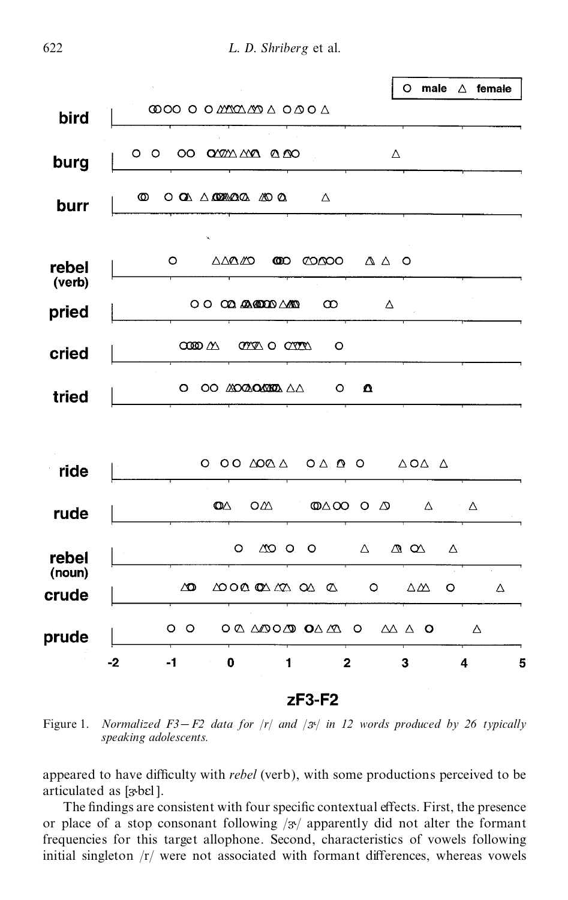

Figure 1. *Normalized*  $F3-F2$  *data for*  $/r/$  *and*  $/3^{v}/$  *in* 12 *words produced by* 26 *typically speaking adolescents.*

appeared to have difficulty with *rebel* (verb), with some productions perceived to be articulated as  $[3 \text{ b} \text{c}]$ .

The findings are consistent with four specific contextual effects. First, the presence or place of a stop consonant following  $\frac{1}{3}$  apparently did not alter the formant frequencies for this target allophone. Second, characteristics of vowels following initial singleton  $/r/$  were not associated with formant differences, whereas vowels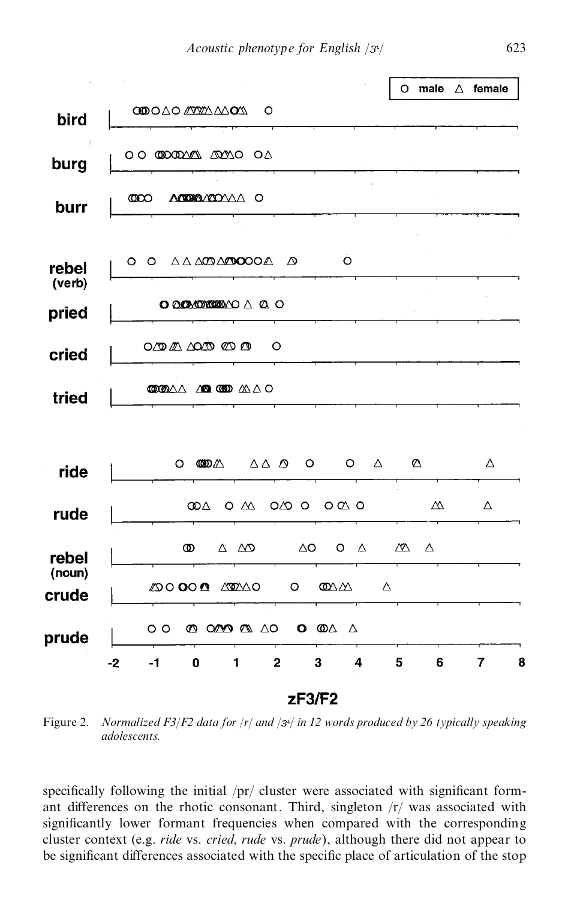

Figure 2. *Normalized F3*/*F2 data for* /*r*/ *and* / / *in 12 words produced by 26 typically speaking adolescents.*

specifically following the initial  $/pr/c$  cluster were associated with significant formant differences on the rhotic consonant. Third, singleton  $\frac{r}{r}$  was associated with significantly lower formant frequencies when compared with the corresponding cluster context (e.g. *ride* vs. *cried*, *rude* vs. *prude*), although there did not appear to be significant differences associated with the specific place of articulation of the stop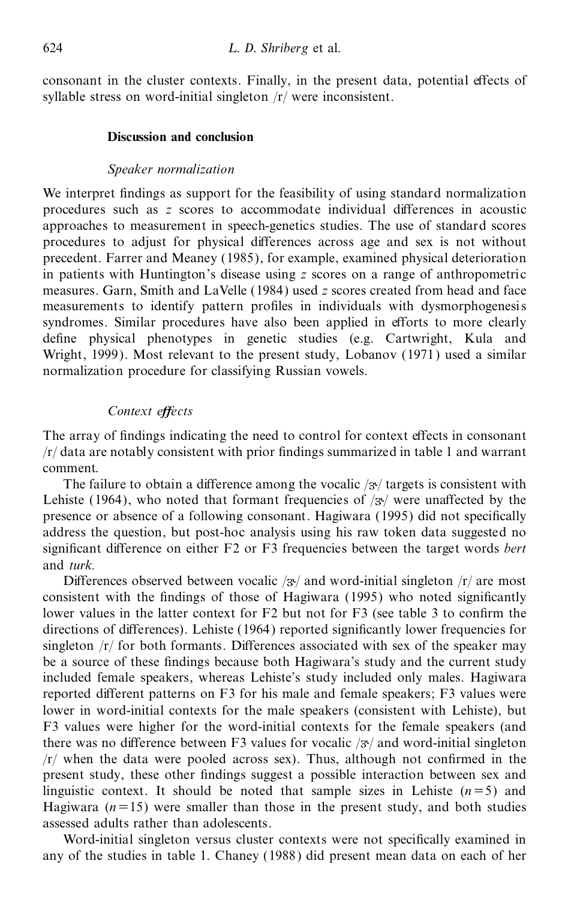consonant in the cluster contexts. Finally, in the present data, potential effects of syllable stress on word-initial singleton /r/ were inconsistent.

# **Discussion and conclusion**

# *Speaker normalization*

We interpret findings as support for the feasibility of using standard normalization procedures such as *z* scores to accommodate individual differences in acoustic approaches to measurement in speech-genetics studies. The use of standard scores procedures to adjust for physical differences across age and sex is not without precedent. Farrer and Meaney (1985), for example, examined physical deterioration in patients with Huntington's disease using *z* scores on a range of anthropometric measures. Garn, Smith and LaVelle (1984) used *z* scores created from head and face measurements to identify pattern profiles in individuals with dysmorphogenesis syndromes. Similar procedures have also been applied in efforts to more clearly define physical phenotypes in genetic studies (e.g. Cartwright, Kula and Wright, 1999). Most relevant to the present study, Lobanov (1971) used a similar normalization procedure for classifying Russian vowels.

# *Context eŒects*

The array of findings indicating the need to control for context effects in consonant  $/r/d$  data are notably consistent with prior findings summarized in table 1 and warrant comment.

The failure to obtain a difference among the vocalic  $\frac{x}{i}$  targets is consistent with Lehiste (1964), who noted that formant frequencies of  $\frac{1}{3}$  were unaffected by the presence or absence of a following consonant. Hagiwara (1995) did not specifically address the question, but post-hoc analysis using his raw token data suggested no significant difference on either F2 or F3 frequencies between the target words *bert* and *turk.*

Differences observed between vocalic  $/3$ <sup>t</sup> and word-initial singleton  $/r/$  are most consistent with the findings of those of Hagiwara (1995) who noted significantly lower values in the latter context for  $F2$  but not for  $F3$  (see table 3 to confirm the directions of differences). Lehiste (1964) reported significantly lower frequencies for singleton  $/r/$  for both formants. Differences associated with sex of the speaker may be a source of these findings because both Hagiwara's study and the current study included female speakers, whereas Lehiste's study included only males. Hagiwara reported different patterns on F3 for his male and female speakers; F3 values were lower in word-initial contexts for the male speakers (consistent with Lehiste), but F3 values were higher for the word-initial contexts for the female speakers (and there was no difference between F3 values for vocalic  $/\mathcal{F}/\mathcal{A}$  and word-initial singleton  $/r/$  when the data were pooled across sex). Thus, although not confirmed in the present study, these other findings suggest a possible interaction between sex and linguistic context. It should be noted that sample sizes in Lehiste  $(n=5)$  and Hagiwara  $(n=15)$  were smaller than those in the present study, and both studies assessed adults rather than adolescents.

Word-initial singleton versus cluster contexts were not specifically examined in any of the studies in table 1. Chaney (1988) did present mean data on each of her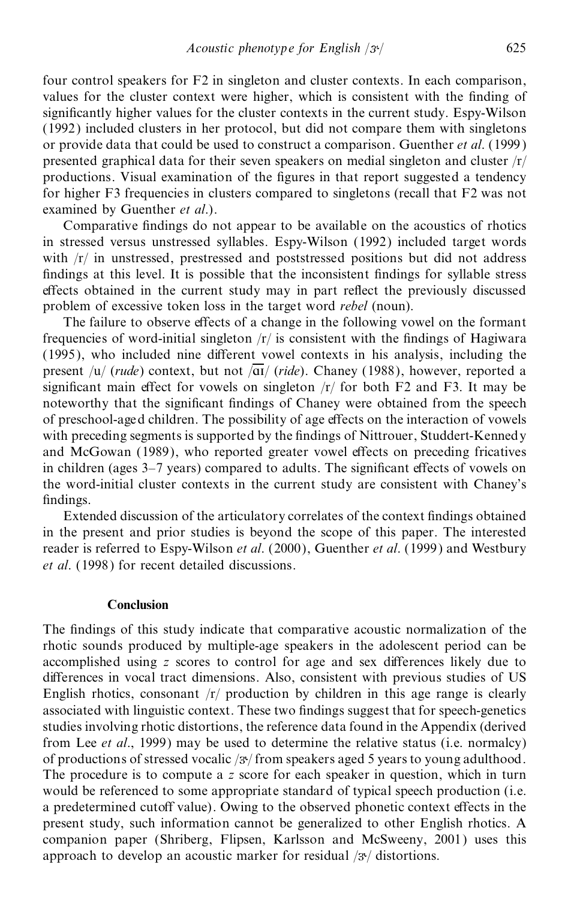four control speakers for F2 in singleton and cluster contexts. In each comparison, values for the cluster context were higher, which is consistent with the finding of significantly higher values for the cluster contexts in the current study. Espy-Wilson (1992) included clusters in her protocol, but did not compare them with singletons or provide data that could be used to construct a comparison. Guenther *et al*. (1999 ) presented graphical data for their seven speakers on medial singleton and cluster  $\frac{r}{r}$ productions. Visual examination of the figures in that report suggested a tendency for higher F3 frequencies in clusters compared to singletons (recall that F2 was not examined by Guenther *et al*.).

Comparative findings do not appear to be available on the acoustics of rhotics in stressed versus unstressed syllables. Espy-Wilson (1992) included target words with /r/ in unstressed, prestressed and poststressed positions but did not address findings at this level. It is possible that the inconsistent findings for syllable stress effects obtained in the current study may in part reflect the previously discussed problem of excessive token loss in the target word *rebel* (noun).

The failure to observe effects of a change in the following vowel on the formant frequencies of word-initial singleton  $/r/$  is consistent with the findings of Hagiwara (1995), who included nine different vowel contexts in his analysis, including the present /u/ (*rude*) context, but not  $\sqrt{\frac{at}{dt}}$  (*ride*). Chaney (1988), however, reported a significant main effect for vowels on singleton  $/r/$  for both F2 and F3. It may be noteworthy that the significant findings of Chaney were obtained from the speech of preschool-aged children. The possibility of age effects on the interaction of vowels with preceding segments is supported by the findings of Nittrouer, Studdert-Kennedy and McGowan (1989), who reported greater vowel effects on preceding fricatives in children (ages  $3-7$  years) compared to adults. The significant effects of vowels on the word-initial cluster contexts in the current study are consistent with Chaney's findings.

Extended discussion of the articulatory correlates of the context findings obtained in the present and prior studies is beyond the scope of this paper. The interested reader is referred to Espy-Wilson *et al*. (2000), Guenther *et al*. (1999) and Westbury *et al*. (1998) for recent detailed discussions.

## **Conclusion**

The findings of this study indicate that comparative acoustic normalization of the rhotic sounds produced by multiple-age speakers in the adolescent period can be accomplished using *z* scores to control for age and sex differences likely due to differences in vocal tract dimensions. Also, consistent with previous studies of US English rhotics, consonant  $\langle r \rangle$  production by children in this age range is clearly associated with linguistic context. These two findings suggest that for speech-genetics studies involving rhotic distortions, the reference data found in the Appendix (derived from Lee *et al*., 1999) may be used to determine the relative status (i.e. normalcy) of productions of stressed vocalic  $/3$  from speakers aged 5 years to young adulthood. The procedure is to compute a *z* score for each speaker in question, which in turn would be referenced to some appropriate standard of typical speech production (i.e. a predetermined cutoff value). Owing to the observed phonetic context effects in the present study, such information cannot be generalized to other English rhotics. A companion paper (Shriberg, Flipsen, Karlsson and McSweeny, 2001) uses this approach to develop an acoustic marker for residual  $/3$ <sup>t</sup> distortions.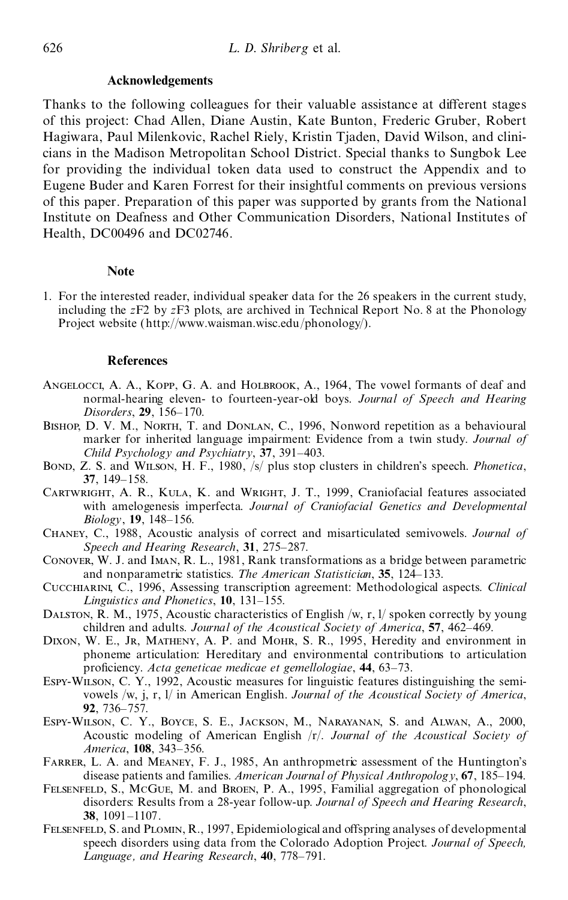#### **Acknowledgements**

Thanks to the following colleagues for their valuable assistance at different stages of this project: Chad Allen, Diane Austin, Kate Bunton, Frederic Gruber, Robert Hagiwara, Paul Milenkovic, Rachel Riely, Kristin Tjaden, David Wilson, and clini cians in the Madison Metropolitan School District. Special thanks to Sungbok Lee for providing the individual token data used to construct the Appendix and to Eugene Buder and Karen Forrest for their insightful comments on previous versions of this paper. Preparation of this paper was supported by grants from the National Institute on Deafness and Other Communication Disorders, National Institutes of Health, DC00496 and DC02746.

#### **Note**

1. For the interested reader, individual speaker data for the 26 speakers in the current study, including the *z*F2 by *z*F3 plots, are archived in Technical Report No. 8 at the Phonology Project website (http://www.waisman.wisc.edu/phonology/).

#### **References**

- Angelocci, A. A., Kopp, G. A. and Holbrook, A., 1964, The vowel formants of deaf and normal-hearing eleven- to fourteen-year-old boys. *Journal of Speech and Hearing Disorders*, 29, 156-170.
- BISHOP, D. V. M., NORTH, T. and DONLAN, C., 1996, Nonword repetition as a behavioural marker for inherited language impairment: Evidence from a twin study. *Journal of Child*  $P$ *sychology and*  $P$ *sychiatry*, **37**, 391–403.
- Bond, Z. S. and Wilson, H. F., 1980, /s/ plus stop clusters in children's speech. *Phonetica*, **37**, 149-158.
- Cartwright, A. R., Kula, K. and Wright, J. T., 1999, Craniofacial features associated with amelogenesis imperfecta. *Journal of Craniofacial Genetics and Developmental Biology*, **19**, 148±156.
- Chaney, C., 1988, Acoustic analysis of correct and misarticulated semivowels. *Journal of Speech and Hearing Research*, 31, 275-287.
- Conover, W. J. and Iman, R. L., 1981, Rank transformations as a bridge between parametric and nonparametric statistics. *The American Statistician*, 35, 124–133.
- Cucchiarini, C., 1996, Assessing transcription agreement: Methodological aspects. *Clinical Linguistics and Phonetics*, 10, 131-155.
- DALSTON, R. M., 1975, Acoustic characteristics of English /w, r,  $1/$  spoken correctly by young children and adults. *Journal of the Acoustical Society of America*, 57, 462-469.
- DIXON, W. E., JR, MATHENY, A. P. and MOHR, S. R., 1995, Heredity and environment in phoneme articulation: Hereditary and environmental contributions to articulation pro®ciency. *Acta geneticae medicae et gemellologiae*, **44**, 63±73.
- Espy-Wilson, C. Y., 1992, Acoustic measures for linguistic features distinguishing the semi vowels /w, j, r, l/ in American English. *Journal of the Acoustical Society of America*, **92**, 736-757.
- Espy-Wilson, C. Y., Boyce, S. E., Jackson, M., Narayanan, S. and Alwan, A., 2000, Acoustic modeling of American English /r/. *Journal of the Acoustical Society of America*, **108**, 343-356.
- FARRER, L. A. and MEANEY, F. J., 1985, An anthropmetric assessment of the Huntington's disease patients and families. *American Journal of Physical Anthropology*, **67**, 185±194.
- Felsenfeld, S., McGue, M. and Broen, P. A., 1995, Familial aggregation of phonological disorders: Results from a 28-year follow-up. *Journal of Speech and Hearing Research*, **38.** 1091-1107.
- FELSENFELD, S. and PLOMIN, R., 1997, Epidemiological and offspring analyses of developmental speech disorders using data from the Colorado Adoption Project. *Journal of Speech,* Language, and Hearing Research, 40, 778-791.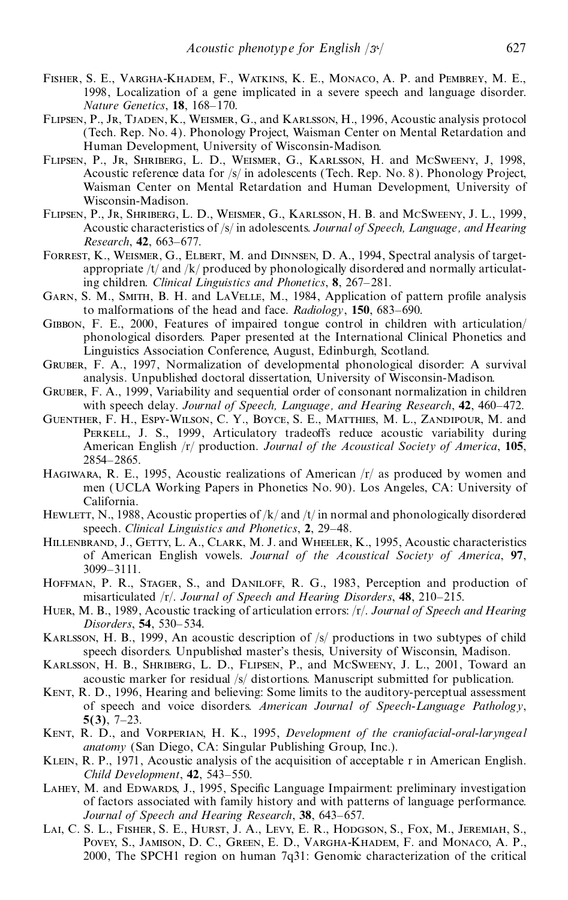- Fisher, S. E., Vargha-Khadem, F., Watkins, K. E., Monaco, A. P. and Pembrey, M. E., 1998, Localization of a gene implicated in a severe speech and language disorder. *Nature Genetics*, **18**, 168-170.
- Flipsen, P., Jr, Tjaden, K., Weismer, G., and Karlsson, H., 1996, Acoustic analysis protocol (Tech. Rep. No. 4). Phonology Project, Waisman Center on Mental Retardation and Human Development, University of Wisconsin-Madison.
- Flipsen, P., Jr, Shriberg, L. D., Weismer, G., Karlsson, H. and McSweeny, J, 1998, Acoustic reference data for /s/ in adolescents (Tech. Rep. No. 8). Phonology Project, Waisman Center on Mental Retardation and Human Development, University of Wisconsin-Madison.
- Flipsen, P., Jr, Shriberg, L. D., Weismer, G., Karlsson, H. B. and McSweeny, J. L., 1999, Acoustic characteristics of /s/ in adolescents. *Journal of Speech, Language, and Hearing Research*, **42**, 663-677.
- Forrest, K., Weismer, G., Elbert, M. and Dinnsen, D. A., 1994, Spectral analysis of target appropriate /t/ and /k/ produced by phonologically disordered and normally articulating children. *Clinical Linguistics and Phonetics*, 8, 267–281.
- GARN, S. M., SMITH, B. H. and LAVELLE, M., 1984, Application of pattern profile analysis to malformations of the head and face. *Radiology*, 150, 683–690.
- Gibbon, F. E., 2000, Features of impaired tongue control in children with articulation/ phonological disorders*.* Paper presented at the International Clinical Phonetics and Linguistics Association Conference, August, Edinburgh, Scotland.
- Gruber, F. A., 1997, Normalization of developmental phonological disorder: A survival analysis. Unpublished doctoral dissertation, University of Wisconsin-Madison.
- Gruber, F. A., 1999, Variability and sequential order of consonant normalization in children with speech delay. *Journal of Speech, Language, and Hearing Research*, 42, 460–472.
- Guenther, F. H., Espy-Wilson, C. Y., Boyce, S. E., Matthies, M. L., Zandipour, M. and PERKELL, J. S., 1999, Articulatory tradeoffs reduce acoustic variability during American English /r/ production. *Journal of the Acoustical Society of America*, **105**, 2854±2865.
- HAGIWARA, R. E., 1995, Acoustic realizations of American  $\frac{r}{a}$  as produced by women and men (UCLA Working Papers in Phonetics No. 90). Los Angeles, CA: University of California.
- Hewlett, N., 1988, Acoustic properties of  $/k$  and  $/t$  in normal and phonologically disordered speech. *Clinical Linguistics and Phonetics*, 2, 29-48.
- Hillenbrand, J., Getty, L. A., Clark, M. J. and Wheeler, K., 1995, Acoustic characteristics of American English vowels. *Journal of the Acoustical Society of America*, **97**, 3099±3111.
- HOFFMAN, P. R., STAGER, S., and DANILOFF, R. G., 1983, Perception and production of misarticulated /r/. *Journal of Speech and Hearing Disorders*, **48**, 210–215.
- Huer, M. B., 1989, Acoustic tracking of articulation errors: /r/. *Journal of Speech and Hearing Disorders*, 54, 530–534.
- Karlsson, H. B., 1999, An acoustic description of /s/ productions in two subtypes of child speech disorders. Unpublished master's thesis, University of Wisconsin, Madison.
- Karlsson, H. B., Shriberg, L. D., Flipsen, P., and McSweeny, J. L., 2001, Toward an acoustic marker for residual /s/ distortions. Manuscript submitted for publication.
- Kent, R. D., 1996, Hearing and believing: Some limits to the auditory-perceptual assessment of speech and voice disorders. *American Journal of Speech-Language Pathology*,  $5(3)$ ,  $7-23$ .
- Kent, R. D., and Vorperian, H. K., 1995, *Development of the craniofacial-oral-laryngeal anatomy* (San Diego, CA: Singular Publishing Group, Inc.).
- Klein, R. P., 1971, Acoustic analysis of the acquisition of acceptable r in American English. *Child Development*, **42**, 543-550.
- LAHEY, M. and EDWARDS, J., 1995, Specific Language Impairment: preliminary investigation of factors associated with family history and with patterns of language performance. *Journal of Speech and Hearing Research*, 38, 643-657.
- Lai, C. S. L., Fisher, S. E., Hurst, J. A., Levy, E. R., Hodgson, S., Fox, M., Jeremiah, S., Povey, S., Jamison, D. C., Green, E. D., Vargha-Khadem, F. and Monaco, A. P., 2000, The SPCH1 region on human 7q31: Genomic characterization of the critical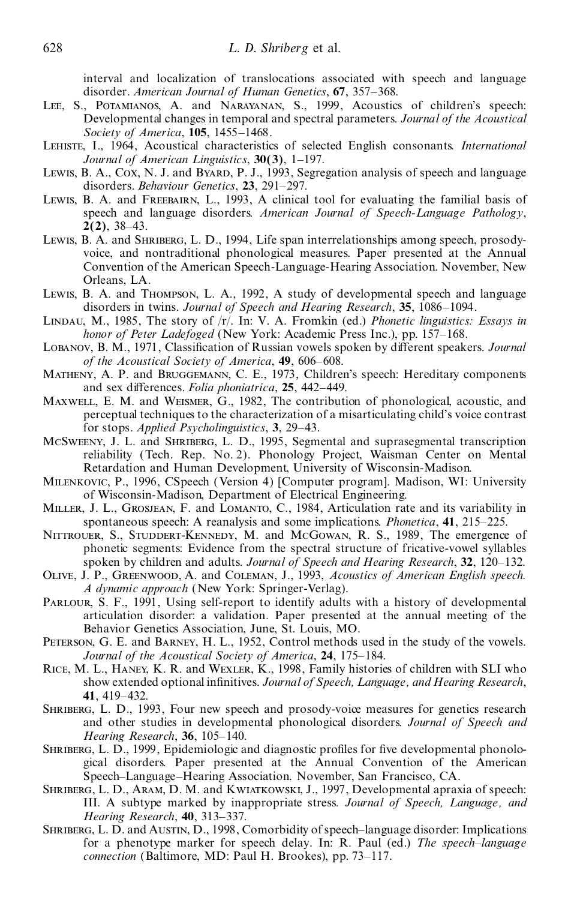interval and localization of translocations associated with speech and language disorder. *American Journal of Human Genetics*, 67, 357-368.

- Lee, S., Potamianos, A. and Narayanan, S., 1999, Acoustics of children's speech: Developmental changes in temporal and spectral parameters. *Journal of the Acoustical Society of America*, **105**, 1455-1468.
- Lehiste, I., 1964, Acoustical characteristics of selected English consonants. *International Journal of American Linguistics*, 30(3), 1–197.
- Lewis, B. A., Cox, N. J. and Byard, P. J., 1993, Segregation analysis of speech and language disorders. *Behaviour Genetics*, 23, 291-297.
- Lewis, B. A. and Freebairn, L., 1993, A clinical tool for evaluating the familial basis of speech and language disorders. *American Journal of Speech-Language Pathology*, **2(2)**, 38–43.
- Lewis, B. A. and SHRIBERG, L. D., 1994, Life span interrelationships among speech, prosodyvoice, and nontraditional phonological measures. Paper presented at the Annual Convention of the American Speech-Language-Hearing Association. November, New Orleans, LA.
- Lewis, B. A. and Thompson, L. A., 1992, A study of developmental speech and language disorders in twins. *Journal of Speech and Hearing Research*, 35, 1086-1094.
- Lindau, M., 1985, The story of /r/. In: V. A. Fromkin (ed.) *Phonetic linguistics: Essays in honor of Peter Ladefoged* (New York: Academic Press Inc.), pp. 157-168.
- LOBANOV, B. M., 1971, Classification of Russian vowels spoken by different speakers. *Journal of* the *Acoustical Society of America*, 49, 606-608.
- Matheny, A. P. and Bruggemann, C. E., 1973, Children's speech: Hereditary components and sex differences. *Folia phoniatrica*, 25, 442-449.
- Maxwell, E. M. and Weismer, G., 1982, The contribution of phonological, acoustic, and perceptual techniques to the characterization of a misarticulating child's voice contrast for stops. *Applied Psycholinguistics*, 3, 29–43.
- McSweeny, J. L. and Shriberg, L. D., 1995, Segmental and suprasegmental transcription reliability (Tech. Rep. No. 2). Phonology Project, Waisman Center on Mental Retardation and Human Development, University of Wisconsin-Madison.
- Milenkovic, P., 1996, CSpeech (Version 4) [Computer program]. Madison, WI: University of Wisconsin-Madison, Department of Electrical Engineering.
- Miller, J. L., Grosjean, F. and Lomanto, C., 1984, Articulation rate and its variability in spontaneous speech: A reanalysis and some implications. *Phonetica*, 41, 215–225.
- Nittrouer, S., Studdert-Kennedy, M. and McGowan, R. S., 1989, The emergence of phonetic segments: Evidence from the spectral structure of fricative-vowel syllables spoken by children and adults. *Journal of Speech and Hearing Research*, **32**, 120±132.
- Olive, J. P., Greenwood, A. and Coleman, J., 1993, *Acoustics of American English speech. A dynamic approach* (New York: Springer-Verlag).
- Parlour, S. F., 1991, Using self-report to identify adults with a history of developmental articulation disorder: a validation. Paper presented at the annual meeting of the Behavior Genetics Association, June, St. Louis, MO.
- Peterson, G. E. and Barney, H. L., 1952, Control methods used in the study of the vowels. *Journal of the Acoustical Society of America*, 24, 175-184.
- Rice, M. L., Haney, K. R. and Wexler, K., 1998, Family histories of children with SLI who show extended optional in®nitives. *Journal of Speech, Language, and Hearing Research*, **41**, 419±432.
- Shriberg, L. D., 1993, Four new speech and prosody-voice measures for genetics research and other studies in developmental phonological disorders. *Journal of Speech and Hearing Research*, 36, 105-140.
- SHRIBERG, L. D., 1999, Epidemiologic and diagnostic profiles for five developmental phonological disorders. Paper presented at the Annual Convention of the American Speech-Language-Hearing Association. November, San Francisco, CA.
- Shriberg, L. D., Aram, D. M. and Kwiatkowski, J., 1997, Developmental apraxia of speech: III. A subtype marked by inappropriate stress. *Journal of Speech, Language, and Hearing Research*, 40, 313-337.
- SHRIBERG, L. D. and AUSTIN, D., 1998, Comorbidity of speech-language disorder: Implications for a phenotype marker for speech delay. In: R. Paul (ed.) *The speech-language connection* (Baltimore, MD: Paul H. Brookes), pp. 73-117.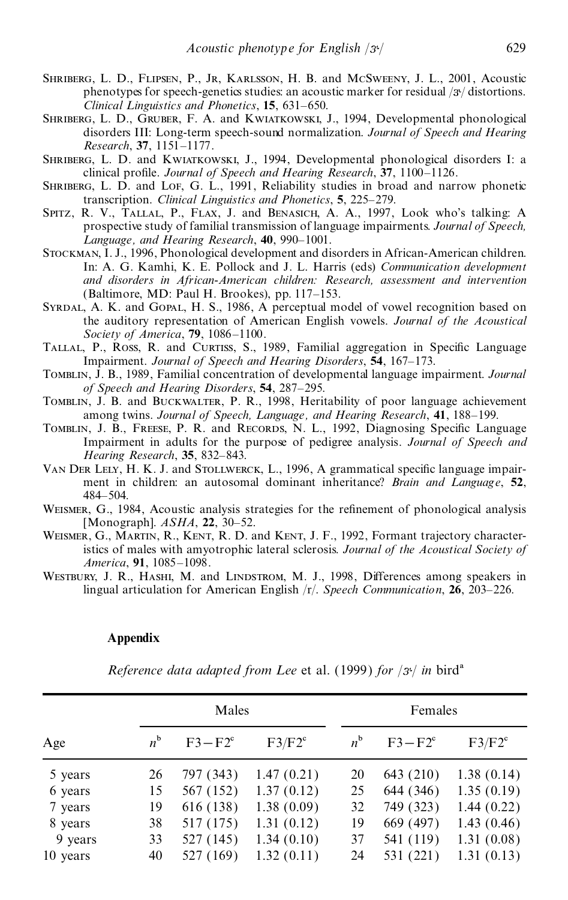- SHRIBERG, L. D., FLIPSEN, P., JR, KARLSSON, H. B. and MCSWEENY, J. L., 2001, Acoustic phenotypes for speech-genetics studies: an acoustic marker for residual  $/3$  $/$  distortions. *Clinical Linguistics and Phonetics*, 15, 631–650.
- Shriberg, L. D., Gruber, F. A. and Kwiatkowski, J., 1994, Developmental phonological disorders III: Long-term speech-sound normalization. *Journal of Speech and Hearing Research*, **37**, 1151±1177.
- Shriberg, L. D. and Kwiatkowski, J., 1994, Developmental phonological disorders I: a clinical profile. *Journal of Speech and Hearing Research*, 37, 1100-1126.
- SHRIBERG, L. D. and LoF, G. L., 1991, Reliability studies in broad and narrow phonetic transcription. *Clinical Linguistics and Phonetics*, 5, 225–279.
- Spitz, R. V., Tallal, P., Flax, J. and Benasich, A. A., 1997, Look who's talking: A prospective study of familial transmission of language impairments. *Journal of Speech, Language, and Hearing Research*, 40, 990-1001.
- Stockman, I. J., 1996, Phonological development and disorders in African-American children. In: A. G. Kamhi, K. E. Pollock and J. L. Harris (eds) *Communication development and disorders in African-American children: Research, assessment and intervention* (Baltimore, MD: Paul H. Brookes), pp.  $117-153$ .
- Syrdal, A. K. and Gopal, H. S., 1986, A perceptual model of vowel recognition based on the auditory representation of American English vowels. *Journal of the Acoustical Society of America*, **79**, 1086-1100.
- TALLAL, P., Ross, R. and CURTISS, S., 1989, Familial aggregation in Specific Language Impairment. *Journal of Speech and Hearing Disorders*, 54, 167-173.
- Tomblin, J. B., 1989, Familial concentration of developmental language impairment. *Journal of Speech and Hearing Disorders*, 54, 287–295.
- Tomblin, J. B. and Buckwalter, P. R., 1998, Heritability of poor language achievement among twins. *Journal of Speech, Language, and Hearing Research*, **41**, 188±199.
- TOMBLIN, J. B., FREESE, P. R. and RECORDS, N. L., 1992, Diagnosing Specific Language Impairment in adults for the purpose of pedigree analysis. *Journal of Speech and Hearing Research*, 35, 832-843.
- VAN DER LELY, H. K. J. and STOLLWERCK, L., 1996, A grammatical specific language impairment in children: an autosomal dominant inheritance? *Brain and Language*, **52**, 484±504.
- WEISMER, G., 1984, Acoustic analysis strategies for the refinement of phonological analysis [Monograph].  $ASHA$ , **22**, 30–52.
- WEISMER, G., MARTIN, R., KENT, R. D. and KENT, J. F., 1992, Formant trajectory characteristics of males with amyotrophic lateral sclerosis. *Journal of the Acoustical Society of America*, 91, 1085-1098.
- WESTBURY, J. R., HASHI, M. and LINDSTROM, M. J., 1998, Differences among speakers in lingual articulation for American English /r/. *Speech Communication*, **26**, 203–226.

# **Appendix**

*Reference data adapted from Lee* et al. (1999) *for*  $|3^{\circ}|$  *in* bird<sup>a</sup>

|          |             | Males      |            |             | Females    |            |
|----------|-------------|------------|------------|-------------|------------|------------|
| Age      | $n^{\rm b}$ | $F3 - F2c$ | $F3/F2^c$  | $n^{\rm b}$ | $F3 - F2c$ | $F3/F2^c$  |
| 5 years  | 26          | 797 (343)  | 1.47(0.21) | 20          | 643 (210)  | 1.38(0.14) |
| 6 years  | 15          | 567 (152)  | 1.37(0.12) | 25          | 644 (346)  | 1.35(0.19) |
| 7 years  | 19          | 616 (138)  | 1.38(0.09) | 32          | 749 (323)  | 1.44(0.22) |
| 8 years  | 38          | 517 (175)  | 1.31(0.12) | 19          | 669 (497)  | 1.43(0.46) |
| 9 years  | 33          | 527 (145)  | 1.34(0.10) | 37          | 541 (119)  | 1.31(0.08) |
| 10 years | 40          | 527 (169)  | 1.32(0.11) | 24          | 531 (221)  | 1.31(0.13) |